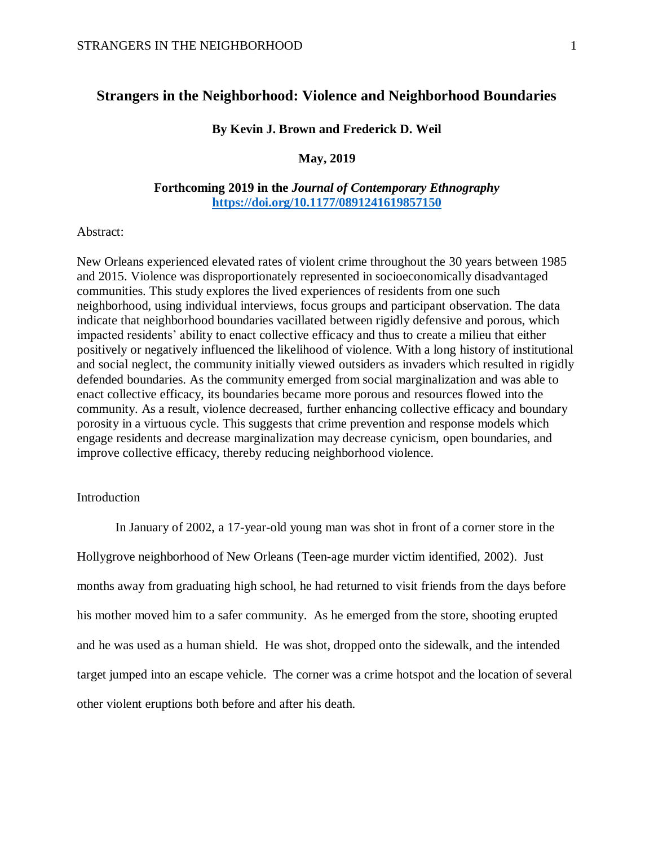# **Strangers in the Neighborhood: Violence and Neighborhood Boundaries**

## **By Kevin J. Brown and Frederick D. Weil**

# **May, 2019**

# **Forthcoming 2019 in the** *Journal of Contemporary Ethnography* **<https://doi.org/10.1177/0891241619857150>**

## Abstract:

New Orleans experienced elevated rates of violent crime throughout the 30 years between 1985 and 2015. Violence was disproportionately represented in socioeconomically disadvantaged communities. This study explores the lived experiences of residents from one such neighborhood, using individual interviews, focus groups and participant observation. The data indicate that neighborhood boundaries vacillated between rigidly defensive and porous, which impacted residents' ability to enact collective efficacy and thus to create a milieu that either positively or negatively influenced the likelihood of violence. With a long history of institutional and social neglect, the community initially viewed outsiders as invaders which resulted in rigidly defended boundaries. As the community emerged from social marginalization and was able to enact collective efficacy, its boundaries became more porous and resources flowed into the community. As a result, violence decreased, further enhancing collective efficacy and boundary porosity in a virtuous cycle. This suggests that crime prevention and response models which engage residents and decrease marginalization may decrease cynicism, open boundaries, and improve collective efficacy, thereby reducing neighborhood violence.

## Introduction

In January of 2002, a 17-year-old young man was shot in front of a corner store in the Hollygrove neighborhood of New Orleans (Teen-age murder victim identified, 2002). Just months away from graduating high school, he had returned to visit friends from the days before his mother moved him to a safer community. As he emerged from the store, shooting erupted and he was used as a human shield. He was shot, dropped onto the sidewalk, and the intended target jumped into an escape vehicle. The corner was a crime hotspot and the location of several other violent eruptions both before and after his death.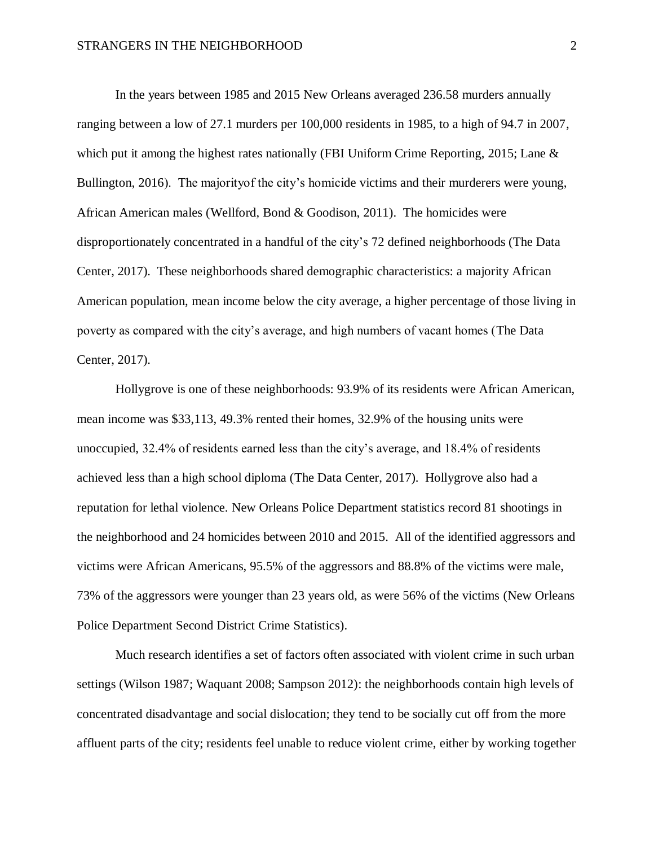In the years between 1985 and 2015 New Orleans averaged 236.58 murders annually ranging between a low of 27.1 murders per 100,000 residents in 1985, to a high of 94.7 in 2007, which put it among the highest rates nationally (FBI Uniform Crime Reporting, 2015; Lane & Bullington, 2016). The majorityof the city's homicide victims and their murderers were young, African American males (Wellford, Bond & Goodison, 2011). The homicides were disproportionately concentrated in a handful of the city's 72 defined neighborhoods (The Data Center, 2017). These neighborhoods shared demographic characteristics: a majority African American population, mean income below the city average, a higher percentage of those living in poverty as compared with the city's average, and high numbers of vacant homes (The Data Center, 2017).

Hollygrove is one of these neighborhoods: 93.9% of its residents were African American, mean income was \$33,113, 49.3% rented their homes, 32.9% of the housing units were unoccupied, 32.4% of residents earned less than the city's average, and 18.4% of residents achieved less than a high school diploma (The Data Center, 2017). Hollygrove also had a reputation for lethal violence. New Orleans Police Department statistics record 81 shootings in the neighborhood and 24 homicides between 2010 and 2015. All of the identified aggressors and victims were African Americans, 95.5% of the aggressors and 88.8% of the victims were male, 73% of the aggressors were younger than 23 years old, as were 56% of the victims (New Orleans Police Department Second District Crime Statistics).

Much research identifies a set of factors often associated with violent crime in such urban settings (Wilson 1987; Waquant 2008; Sampson 2012): the neighborhoods contain high levels of concentrated disadvantage and social dislocation; they tend to be socially cut off from the more affluent parts of the city; residents feel unable to reduce violent crime, either by working together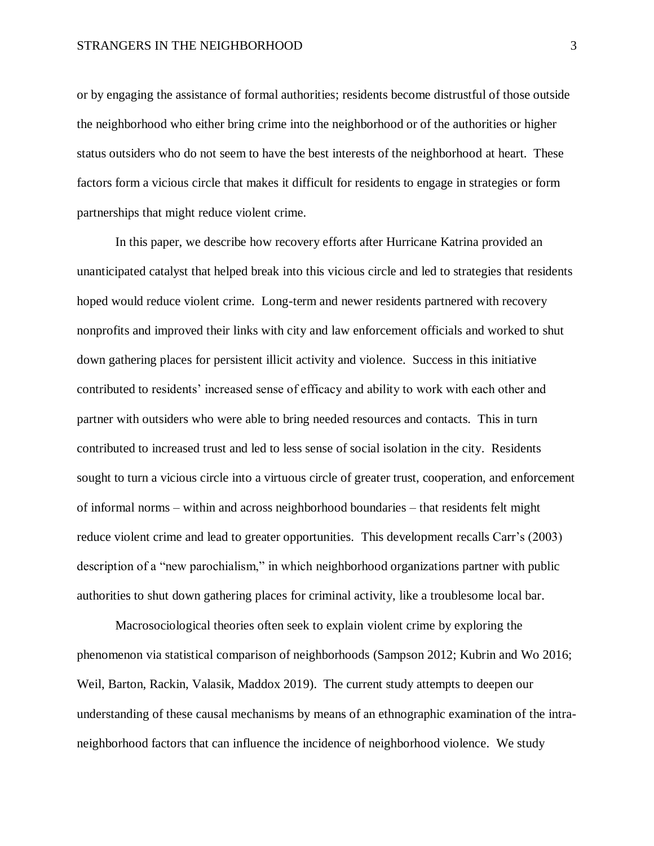or by engaging the assistance of formal authorities; residents become distrustful of those outside the neighborhood who either bring crime into the neighborhood or of the authorities or higher status outsiders who do not seem to have the best interests of the neighborhood at heart. These factors form a vicious circle that makes it difficult for residents to engage in strategies or form partnerships that might reduce violent crime.

In this paper, we describe how recovery efforts after Hurricane Katrina provided an unanticipated catalyst that helped break into this vicious circle and led to strategies that residents hoped would reduce violent crime. Long-term and newer residents partnered with recovery nonprofits and improved their links with city and law enforcement officials and worked to shut down gathering places for persistent illicit activity and violence. Success in this initiative contributed to residents' increased sense of efficacy and ability to work with each other and partner with outsiders who were able to bring needed resources and contacts. This in turn contributed to increased trust and led to less sense of social isolation in the city. Residents sought to turn a vicious circle into a virtuous circle of greater trust, cooperation, and enforcement of informal norms – within and across neighborhood boundaries – that residents felt might reduce violent crime and lead to greater opportunities. This development recalls Carr's (2003) description of a "new parochialism," in which neighborhood organizations partner with public authorities to shut down gathering places for criminal activity, like a troublesome local bar.

Macrosociological theories often seek to explain violent crime by exploring the phenomenon via statistical comparison of neighborhoods (Sampson 2012; Kubrin and Wo 2016; Weil, Barton, Rackin, Valasik, Maddox 2019). The current study attempts to deepen our understanding of these causal mechanisms by means of an ethnographic examination of the intraneighborhood factors that can influence the incidence of neighborhood violence. We study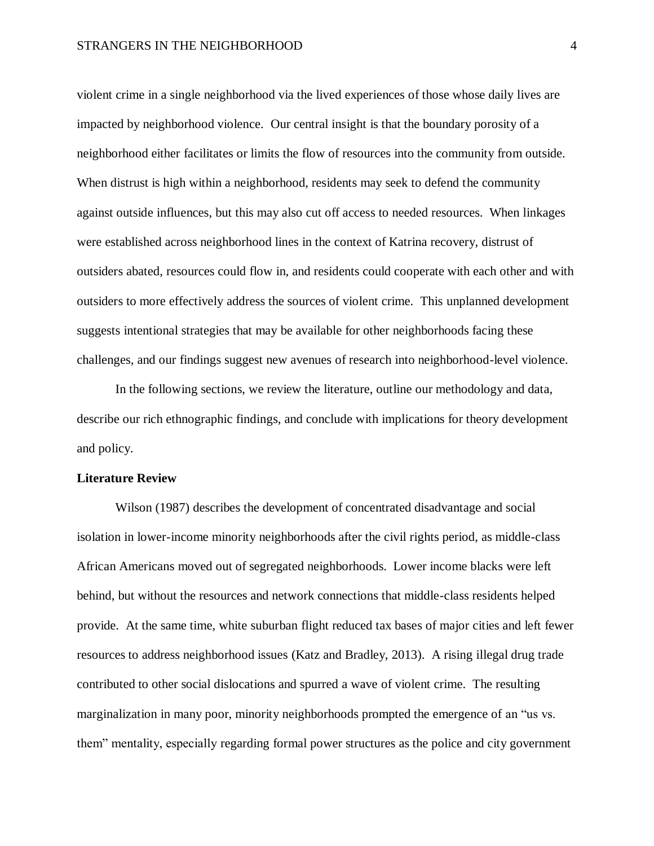violent crime in a single neighborhood via the lived experiences of those whose daily lives are impacted by neighborhood violence. Our central insight is that the boundary porosity of a neighborhood either facilitates or limits the flow of resources into the community from outside. When distrust is high within a neighborhood, residents may seek to defend the community against outside influences, but this may also cut off access to needed resources. When linkages were established across neighborhood lines in the context of Katrina recovery, distrust of outsiders abated, resources could flow in, and residents could cooperate with each other and with outsiders to more effectively address the sources of violent crime. This unplanned development suggests intentional strategies that may be available for other neighborhoods facing these challenges, and our findings suggest new avenues of research into neighborhood-level violence.

In the following sections, we review the literature, outline our methodology and data, describe our rich ethnographic findings, and conclude with implications for theory development and policy.

# **Literature Review**

Wilson (1987) describes the development of concentrated disadvantage and social isolation in lower-income minority neighborhoods after the civil rights period, as middle-class African Americans moved out of segregated neighborhoods. Lower income blacks were left behind, but without the resources and network connections that middle-class residents helped provide. At the same time, white suburban flight reduced tax bases of major cities and left fewer resources to address neighborhood issues (Katz and Bradley, 2013). A rising illegal drug trade contributed to other social dislocations and spurred a wave of violent crime. The resulting marginalization in many poor, minority neighborhoods prompted the emergence of an "us vs. them" mentality, especially regarding formal power structures as the police and city government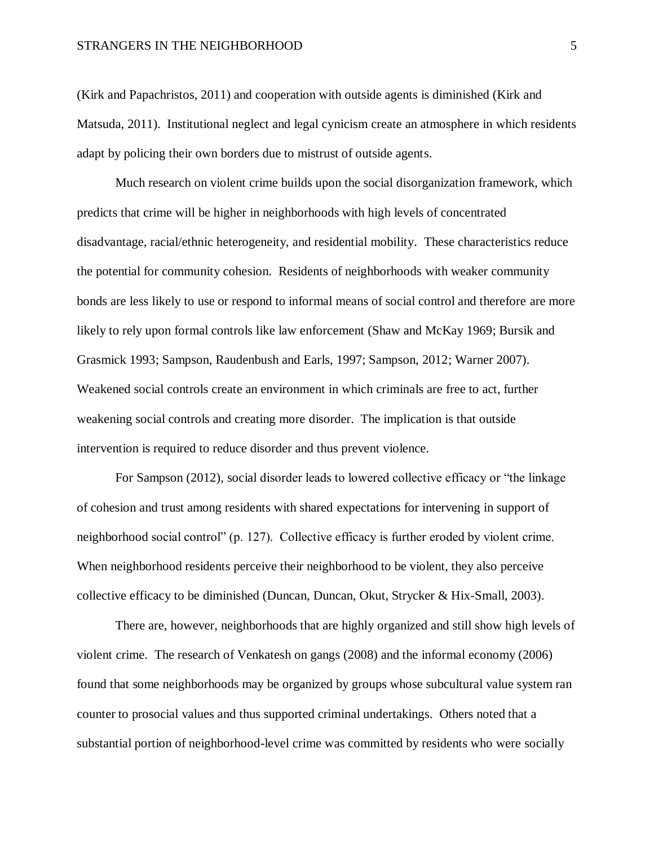(Kirk and Papachristos, 2011) and cooperation with outside agents is diminished (Kirk and Matsuda, 2011). Institutional neglect and legal cynicism create an atmosphere in which residents adapt by policing their own borders due to mistrust of outside agents.

Much research on violent crime builds upon the social disorganization framework, which predicts that crime will be higher in neighborhoods with high levels of concentrated disadvantage, racial/ethnic heterogeneity, and residential mobility. These characteristics reduce the potential for community cohesion. Residents of neighborhoods with weaker community bonds are less likely to use or respond to informal means of social control and therefore are more likely to rely upon formal controls like law enforcement (Shaw and McKay 1969; Bursik and Grasmick 1993; Sampson, Raudenbush and Earls, 1997; Sampson, 2012; Warner 2007). Weakened social controls create an environment in which criminals are free to act, further weakening social controls and creating more disorder. The implication is that outside intervention is required to reduce disorder and thus prevent violence.

For Sampson (2012), social disorder leads to lowered collective efficacy or "the linkage of cohesion and trust among residents with shared expectations for intervening in support of neighborhood social control" (p. 127). Collective efficacy is further eroded by violent crime. When neighborhood residents perceive their neighborhood to be violent, they also perceive collective efficacy to be diminished (Duncan, Duncan, Okut, Strycker & Hix-Small, 2003).

There are, however, neighborhoods that are highly organized and still show high levels of violent crime. The research of Venkatesh on gangs (2008) and the informal economy (2006) found that some neighborhoods may be organized by groups whose subcultural value system ran counter to prosocial values and thus supported criminal undertakings. Others noted that a substantial portion of neighborhood-level crime was committed by residents who were socially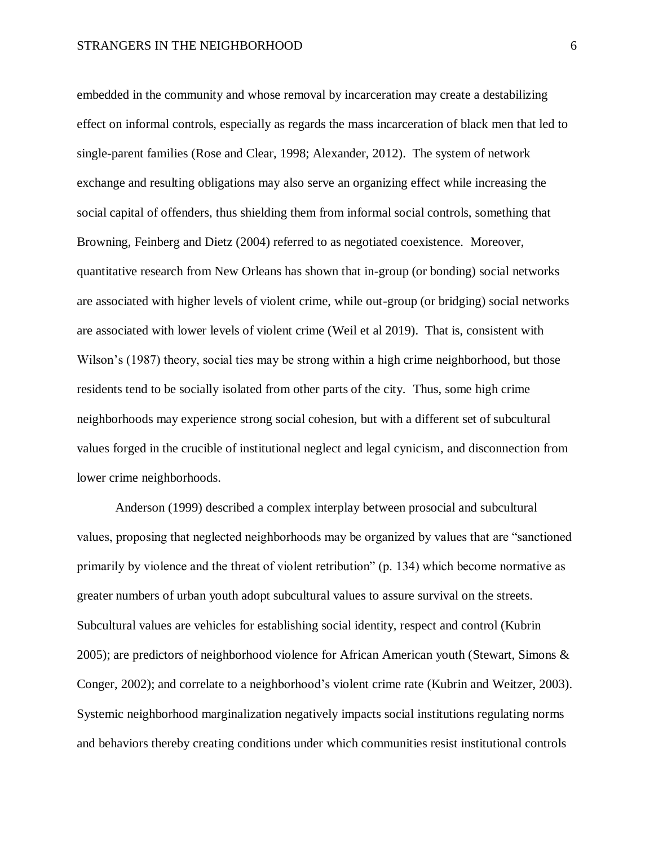embedded in the community and whose removal by incarceration may create a destabilizing effect on informal controls, especially as regards the mass incarceration of black men that led to single-parent families (Rose and Clear, 1998; Alexander, 2012). The system of network exchange and resulting obligations may also serve an organizing effect while increasing the social capital of offenders, thus shielding them from informal social controls, something that Browning, Feinberg and Dietz (2004) referred to as negotiated coexistence. Moreover, quantitative research from New Orleans has shown that in-group (or bonding) social networks are associated with higher levels of violent crime, while out-group (or bridging) social networks are associated with lower levels of violent crime (Weil et al 2019). That is, consistent with Wilson's (1987) theory, social ties may be strong within a high crime neighborhood, but those residents tend to be socially isolated from other parts of the city. Thus, some high crime neighborhoods may experience strong social cohesion, but with a different set of subcultural values forged in the crucible of institutional neglect and legal cynicism, and disconnection from lower crime neighborhoods.

Anderson (1999) described a complex interplay between prosocial and subcultural values, proposing that neglected neighborhoods may be organized by values that are "sanctioned primarily by violence and the threat of violent retribution" (p. 134) which become normative as greater numbers of urban youth adopt subcultural values to assure survival on the streets. Subcultural values are vehicles for establishing social identity, respect and control (Kubrin 2005); are predictors of neighborhood violence for African American youth (Stewart, Simons & Conger, 2002); and correlate to a neighborhood's violent crime rate (Kubrin and Weitzer, 2003). Systemic neighborhood marginalization negatively impacts social institutions regulating norms and behaviors thereby creating conditions under which communities resist institutional controls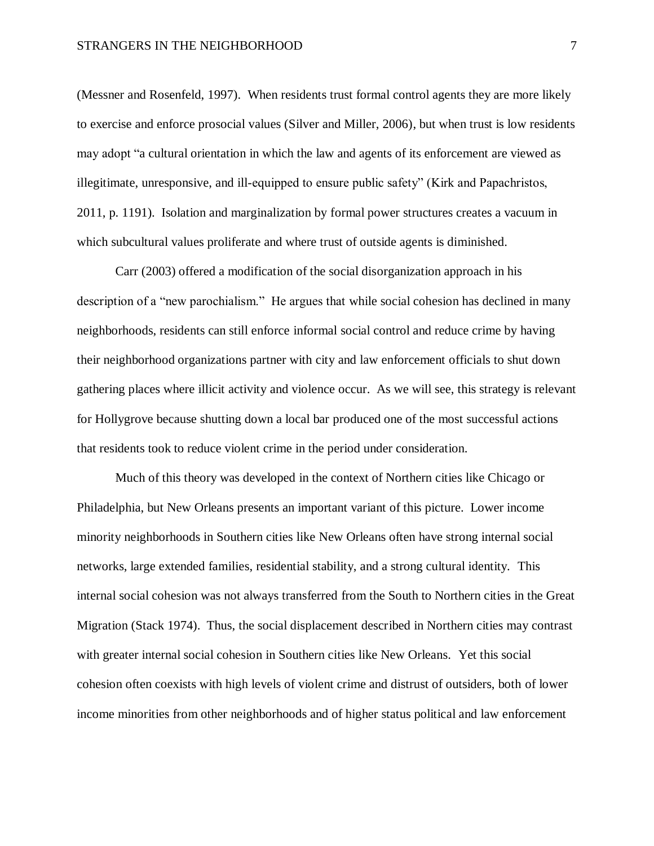(Messner and Rosenfeld, 1997). When residents trust formal control agents they are more likely to exercise and enforce prosocial values (Silver and Miller, 2006), but when trust is low residents may adopt "a cultural orientation in which the law and agents of its enforcement are viewed as illegitimate, unresponsive, and ill-equipped to ensure public safety" (Kirk and Papachristos, 2011, p. 1191). Isolation and marginalization by formal power structures creates a vacuum in which subcultural values proliferate and where trust of outside agents is diminished.

Carr (2003) offered a modification of the social disorganization approach in his description of a "new parochialism." He argues that while social cohesion has declined in many neighborhoods, residents can still enforce informal social control and reduce crime by having their neighborhood organizations partner with city and law enforcement officials to shut down gathering places where illicit activity and violence occur. As we will see, this strategy is relevant for Hollygrove because shutting down a local bar produced one of the most successful actions that residents took to reduce violent crime in the period under consideration.

Much of this theory was developed in the context of Northern cities like Chicago or Philadelphia, but New Orleans presents an important variant of this picture. Lower income minority neighborhoods in Southern cities like New Orleans often have strong internal social networks, large extended families, residential stability, and a strong cultural identity. This internal social cohesion was not always transferred from the South to Northern cities in the Great Migration (Stack 1974). Thus, the social displacement described in Northern cities may contrast with greater internal social cohesion in Southern cities like New Orleans. Yet this social cohesion often coexists with high levels of violent crime and distrust of outsiders, both of lower income minorities from other neighborhoods and of higher status political and law enforcement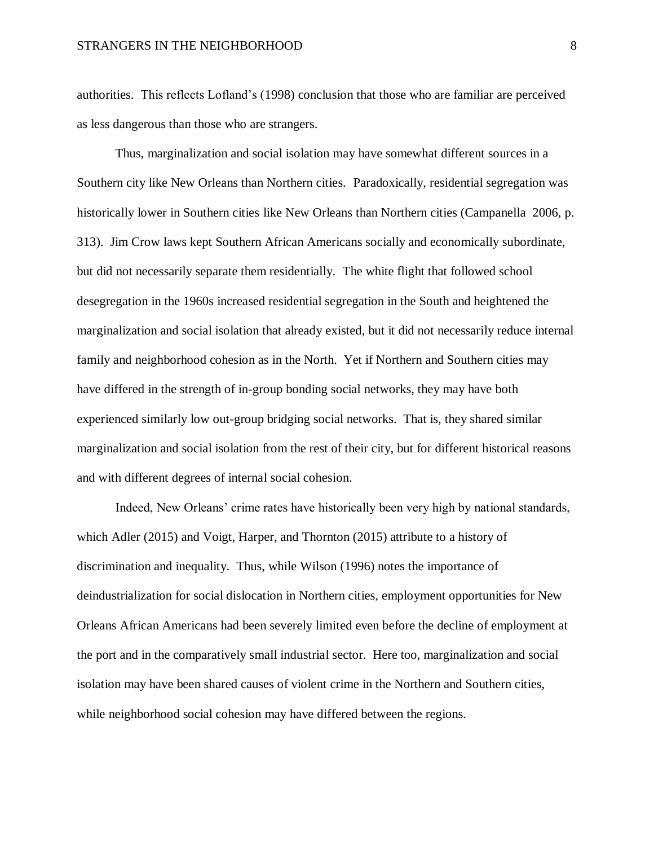authorities. This reflects Lofland's (1998) conclusion that those who are familiar are perceived as less dangerous than those who are strangers.

Thus, marginalization and social isolation may have somewhat different sources in a Southern city like New Orleans than Northern cities. Paradoxically, residential segregation was historically lower in Southern cities like New Orleans than Northern cities (Campanella 2006, p. 313). Jim Crow laws kept Southern African Americans socially and economically subordinate, but did not necessarily separate them residentially. The white flight that followed school desegregation in the 1960s increased residential segregation in the South and heightened the marginalization and social isolation that already existed, but it did not necessarily reduce internal family and neighborhood cohesion as in the North. Yet if Northern and Southern cities may have differed in the strength of in-group bonding social networks, they may have both experienced similarly low out-group bridging social networks. That is, they shared similar marginalization and social isolation from the rest of their city, but for different historical reasons and with different degrees of internal social cohesion.

Indeed, New Orleans' crime rates have historically been very high by national standards, which Adler (2015) and Voigt, Harper, and Thornton (2015) attribute to a history of discrimination and inequality. Thus, while Wilson (1996) notes the importance of deindustrialization for social dislocation in Northern cities, employment opportunities for New Orleans African Americans had been severely limited even before the decline of employment at the port and in the comparatively small industrial sector. Here too, marginalization and social isolation may have been shared causes of violent crime in the Northern and Southern cities, while neighborhood social cohesion may have differed between the regions.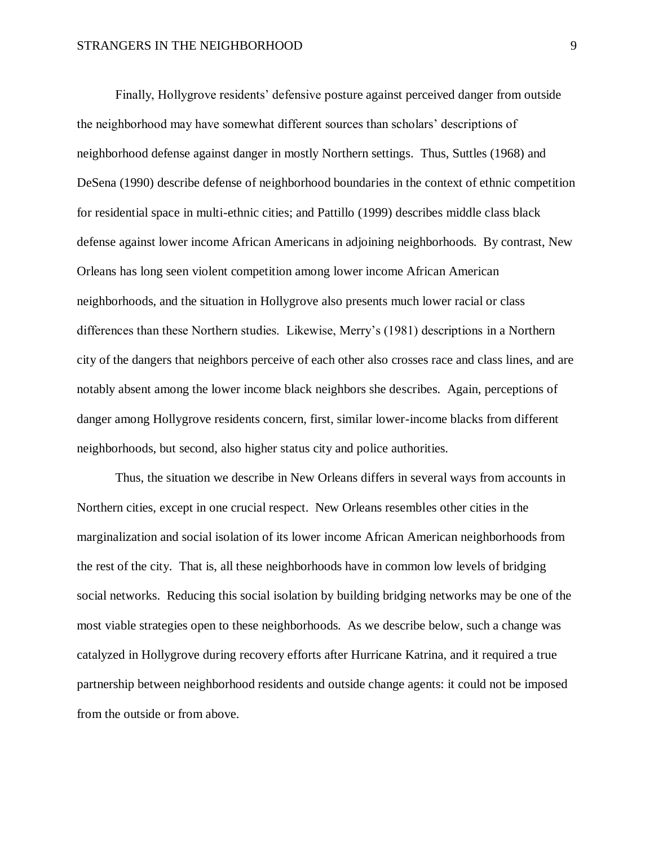Finally, Hollygrove residents' defensive posture against perceived danger from outside the neighborhood may have somewhat different sources than scholars' descriptions of neighborhood defense against danger in mostly Northern settings. Thus, Suttles (1968) and DeSena (1990) describe defense of neighborhood boundaries in the context of ethnic competition for residential space in multi-ethnic cities; and Pattillo (1999) describes middle class black defense against lower income African Americans in adjoining neighborhoods. By contrast, New Orleans has long seen violent competition among lower income African American neighborhoods, and the situation in Hollygrove also presents much lower racial or class differences than these Northern studies. Likewise, Merry's (1981) descriptions in a Northern city of the dangers that neighbors perceive of each other also crosses race and class lines, and are notably absent among the lower income black neighbors she describes. Again, perceptions of danger among Hollygrove residents concern, first, similar lower-income blacks from different neighborhoods, but second, also higher status city and police authorities.

Thus, the situation we describe in New Orleans differs in several ways from accounts in Northern cities, except in one crucial respect. New Orleans resembles other cities in the marginalization and social isolation of its lower income African American neighborhoods from the rest of the city. That is, all these neighborhoods have in common low levels of bridging social networks. Reducing this social isolation by building bridging networks may be one of the most viable strategies open to these neighborhoods. As we describe below, such a change was catalyzed in Hollygrove during recovery efforts after Hurricane Katrina, and it required a true partnership between neighborhood residents and outside change agents: it could not be imposed from the outside or from above.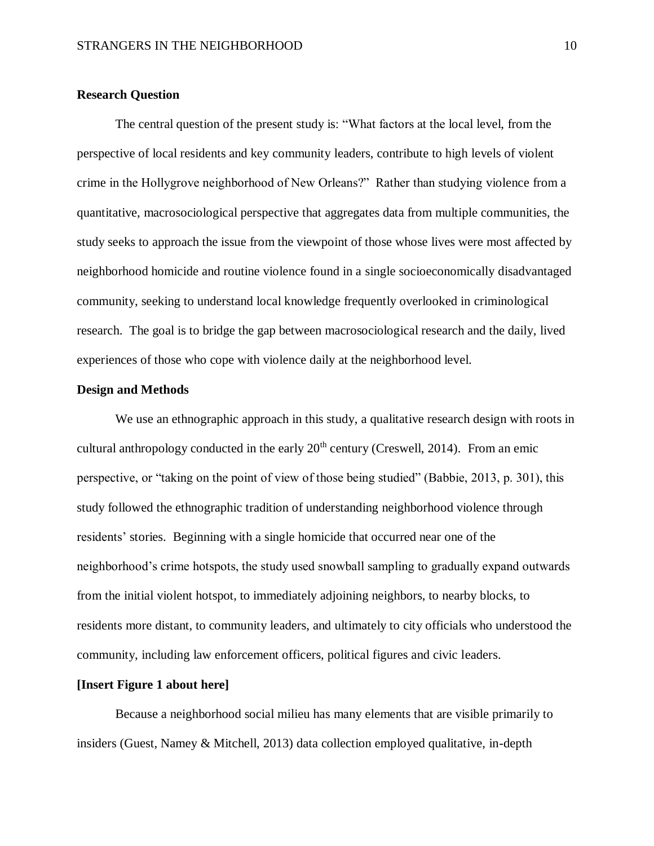# **Research Question**

The central question of the present study is: "What factors at the local level, from the perspective of local residents and key community leaders, contribute to high levels of violent crime in the Hollygrove neighborhood of New Orleans?" Rather than studying violence from a quantitative, macrosociological perspective that aggregates data from multiple communities, the study seeks to approach the issue from the viewpoint of those whose lives were most affected by neighborhood homicide and routine violence found in a single socioeconomically disadvantaged community, seeking to understand local knowledge frequently overlooked in criminological research. The goal is to bridge the gap between macrosociological research and the daily, lived experiences of those who cope with violence daily at the neighborhood level.

# **Design and Methods**

We use an ethnographic approach in this study, a qualitative research design with roots in cultural anthropology conducted in the early  $20<sup>th</sup>$  century (Creswell, 2014). From an emic perspective, or "taking on the point of view of those being studied" (Babbie, 2013, p. 301), this study followed the ethnographic tradition of understanding neighborhood violence through residents' stories. Beginning with a single homicide that occurred near one of the neighborhood's crime hotspots, the study used snowball sampling to gradually expand outwards from the initial violent hotspot, to immediately adjoining neighbors, to nearby blocks, to residents more distant, to community leaders, and ultimately to city officials who understood the community, including law enforcement officers, political figures and civic leaders.

# **[Insert Figure 1 about here]**

Because a neighborhood social milieu has many elements that are visible primarily to insiders (Guest, Namey & Mitchell, 2013) data collection employed qualitative, in-depth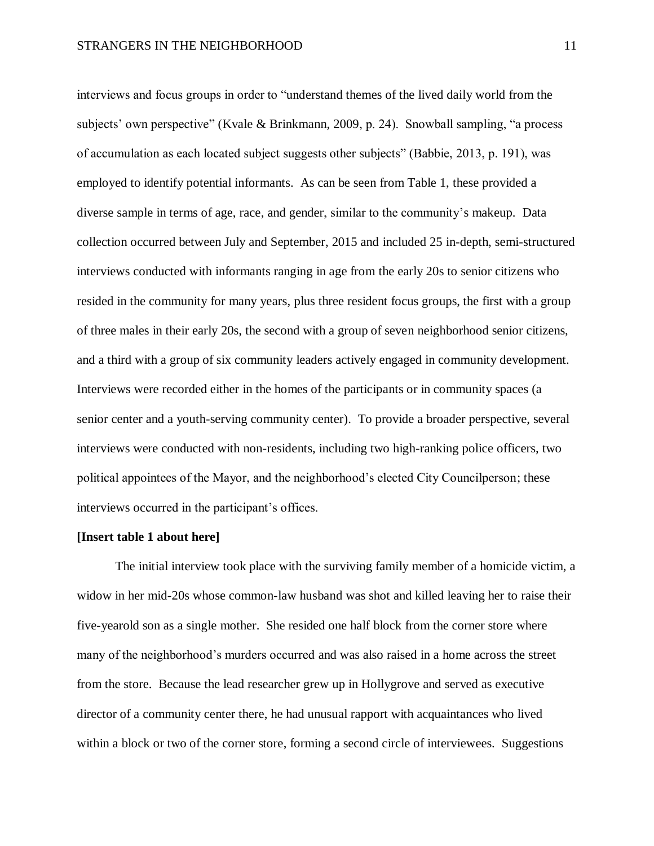interviews and focus groups in order to "understand themes of the lived daily world from the subjects' own perspective" (Kvale & Brinkmann, 2009, p. 24). Snowball sampling, "a process of accumulation as each located subject suggests other subjects" (Babbie, 2013, p. 191), was employed to identify potential informants. As can be seen from Table 1, these provided a diverse sample in terms of age, race, and gender, similar to the community's makeup. Data collection occurred between July and September, 2015 and included 25 in-depth, semi-structured interviews conducted with informants ranging in age from the early 20s to senior citizens who resided in the community for many years, plus three resident focus groups, the first with a group of three males in their early 20s, the second with a group of seven neighborhood senior citizens, and a third with a group of six community leaders actively engaged in community development. Interviews were recorded either in the homes of the participants or in community spaces (a senior center and a youth-serving community center). To provide a broader perspective, several interviews were conducted with non-residents, including two high-ranking police officers, two political appointees of the Mayor, and the neighborhood's elected City Councilperson; these interviews occurred in the participant's offices.

## **[Insert table 1 about here]**

The initial interview took place with the surviving family member of a homicide victim, a widow in her mid-20s whose common-law husband was shot and killed leaving her to raise their five-yearold son as a single mother. She resided one half block from the corner store where many of the neighborhood's murders occurred and was also raised in a home across the street from the store. Because the lead researcher grew up in Hollygrove and served as executive director of a community center there, he had unusual rapport with acquaintances who lived within a block or two of the corner store, forming a second circle of interviewees. Suggestions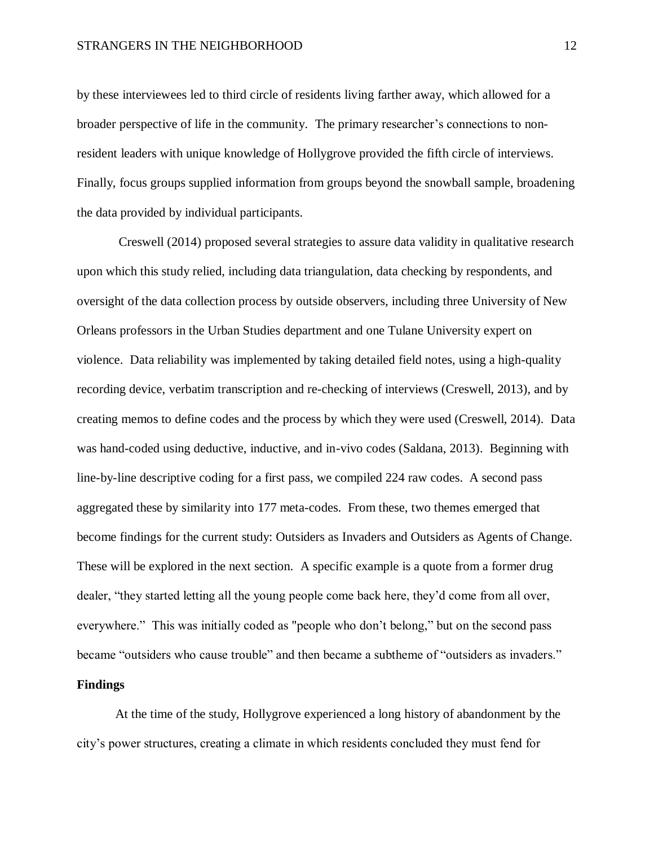by these interviewees led to third circle of residents living farther away, which allowed for a broader perspective of life in the community. The primary researcher's connections to nonresident leaders with unique knowledge of Hollygrove provided the fifth circle of interviews. Finally, focus groups supplied information from groups beyond the snowball sample, broadening the data provided by individual participants.

Creswell (2014) proposed several strategies to assure data validity in qualitative research upon which this study relied, including data triangulation, data checking by respondents, and oversight of the data collection process by outside observers, including three University of New Orleans professors in the Urban Studies department and one Tulane University expert on violence. Data reliability was implemented by taking detailed field notes, using a high-quality recording device, verbatim transcription and re-checking of interviews (Creswell, 2013), and by creating memos to define codes and the process by which they were used (Creswell, 2014). Data was hand-coded using deductive, inductive, and in-vivo codes (Saldana, 2013). Beginning with line-by-line descriptive coding for a first pass, we compiled 224 raw codes. A second pass aggregated these by similarity into 177 meta-codes. From these, two themes emerged that become findings for the current study: Outsiders as Invaders and Outsiders as Agents of Change. These will be explored in the next section. A specific example is a quote from a former drug dealer, "they started letting all the young people come back here, they'd come from all over, everywhere." This was initially coded as "people who don't belong," but on the second pass became "outsiders who cause trouble" and then became a subtheme of "outsiders as invaders." **Findings**

At the time of the study, Hollygrove experienced a long history of abandonment by the city's power structures, creating a climate in which residents concluded they must fend for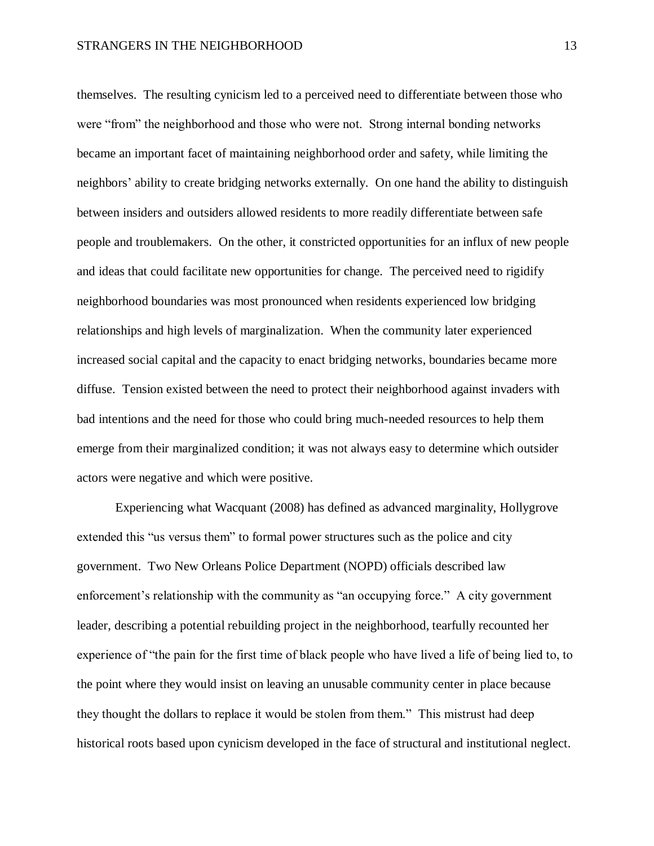themselves. The resulting cynicism led to a perceived need to differentiate between those who were "from" the neighborhood and those who were not. Strong internal bonding networks became an important facet of maintaining neighborhood order and safety, while limiting the neighbors' ability to create bridging networks externally. On one hand the ability to distinguish between insiders and outsiders allowed residents to more readily differentiate between safe people and troublemakers. On the other, it constricted opportunities for an influx of new people and ideas that could facilitate new opportunities for change. The perceived need to rigidify neighborhood boundaries was most pronounced when residents experienced low bridging relationships and high levels of marginalization. When the community later experienced increased social capital and the capacity to enact bridging networks, boundaries became more diffuse. Tension existed between the need to protect their neighborhood against invaders with bad intentions and the need for those who could bring much-needed resources to help them emerge from their marginalized condition; it was not always easy to determine which outsider actors were negative and which were positive.

Experiencing what Wacquant (2008) has defined as advanced marginality, Hollygrove extended this "us versus them" to formal power structures such as the police and city government. Two New Orleans Police Department (NOPD) officials described law enforcement's relationship with the community as "an occupying force." A city government leader, describing a potential rebuilding project in the neighborhood, tearfully recounted her experience of "the pain for the first time of black people who have lived a life of being lied to, to the point where they would insist on leaving an unusable community center in place because they thought the dollars to replace it would be stolen from them." This mistrust had deep historical roots based upon cynicism developed in the face of structural and institutional neglect.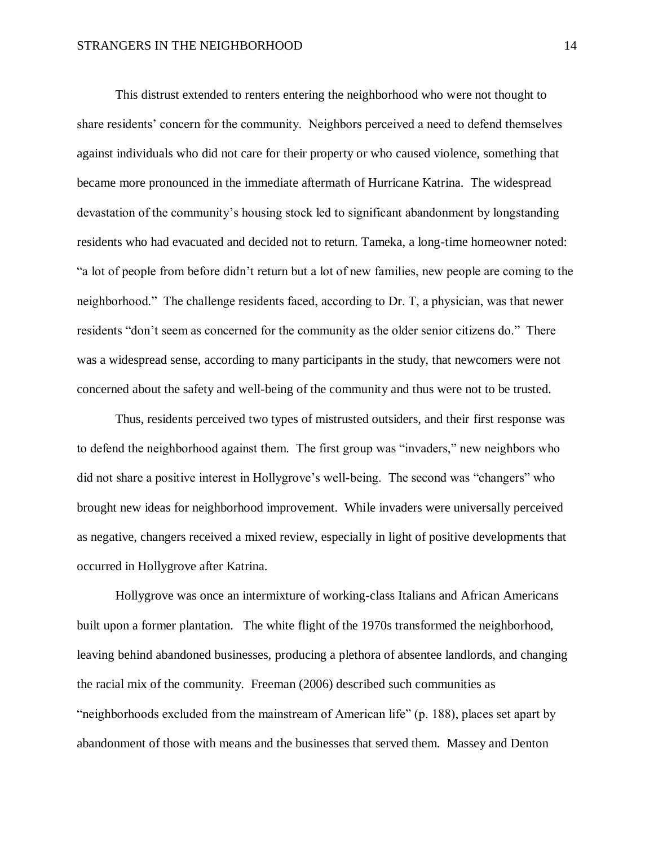This distrust extended to renters entering the neighborhood who were not thought to share residents' concern for the community. Neighbors perceived a need to defend themselves against individuals who did not care for their property or who caused violence, something that became more pronounced in the immediate aftermath of Hurricane Katrina. The widespread devastation of the community's housing stock led to significant abandonment by longstanding residents who had evacuated and decided not to return. Tameka, a long-time homeowner noted: "a lot of people from before didn't return but a lot of new families, new people are coming to the neighborhood." The challenge residents faced, according to Dr. T, a physician, was that newer residents "don't seem as concerned for the community as the older senior citizens do." There was a widespread sense, according to many participants in the study, that newcomers were not concerned about the safety and well-being of the community and thus were not to be trusted.

Thus, residents perceived two types of mistrusted outsiders, and their first response was to defend the neighborhood against them. The first group was "invaders," new neighbors who did not share a positive interest in Hollygrove's well-being. The second was "changers" who brought new ideas for neighborhood improvement. While invaders were universally perceived as negative, changers received a mixed review, especially in light of positive developments that occurred in Hollygrove after Katrina.

Hollygrove was once an intermixture of working-class Italians and African Americans built upon a former plantation. The white flight of the 1970s transformed the neighborhood, leaving behind abandoned businesses, producing a plethora of absentee landlords, and changing the racial mix of the community. Freeman (2006) described such communities as "neighborhoods excluded from the mainstream of American life" (p. 188), places set apart by abandonment of those with means and the businesses that served them. Massey and Denton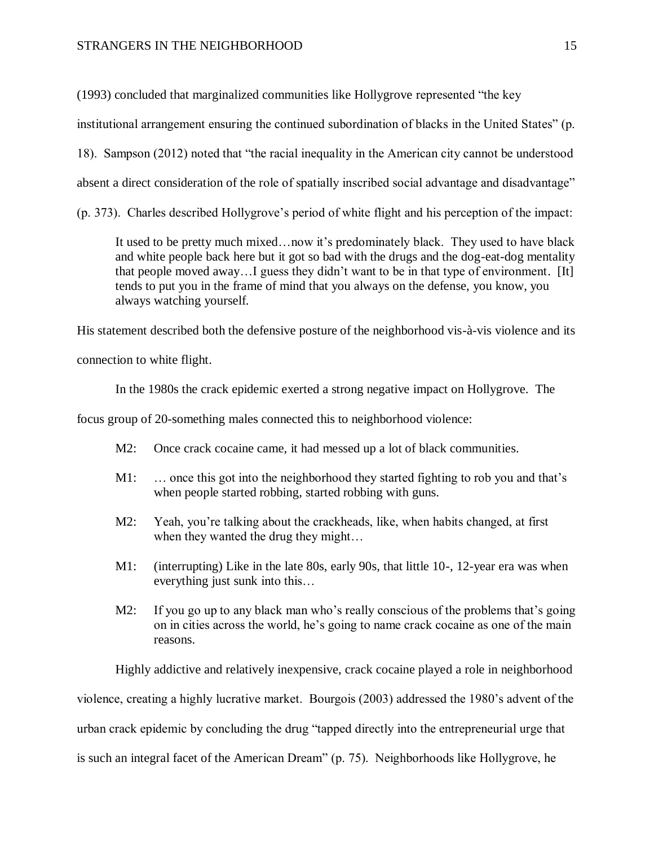(1993) concluded that marginalized communities like Hollygrove represented "the key

institutional arrangement ensuring the continued subordination of blacks in the United States" (p.

18). Sampson (2012) noted that "the racial inequality in the American city cannot be understood

absent a direct consideration of the role of spatially inscribed social advantage and disadvantage"

(p. 373). Charles described Hollygrove's period of white flight and his perception of the impact:

It used to be pretty much mixed…now it's predominately black. They used to have black and white people back here but it got so bad with the drugs and the dog-eat-dog mentality that people moved away…I guess they didn't want to be in that type of environment. [It] tends to put you in the frame of mind that you always on the defense, you know, you always watching yourself.

His statement described both the defensive posture of the neighborhood vis-à-vis violence and its

connection to white flight.

In the 1980s the crack epidemic exerted a strong negative impact on Hollygrove. The

focus group of 20-something males connected this to neighborhood violence:

- M2: Once crack cocaine came, it had messed up a lot of black communities.
- M1: ... once this got into the neighborhood they started fighting to rob you and that's when people started robbing, started robbing with guns.
- M2: Yeah, you're talking about the crackheads, like, when habits changed, at first when they wanted the drug they might...
- M1: (interrupting) Like in the late 80s, early 90s, that little 10-, 12-year era was when everything just sunk into this…
- M2: If you go up to any black man who's really conscious of the problems that's going on in cities across the world, he's going to name crack cocaine as one of the main reasons.

Highly addictive and relatively inexpensive, crack cocaine played a role in neighborhood violence, creating a highly lucrative market. Bourgois (2003) addressed the 1980's advent of the urban crack epidemic by concluding the drug "tapped directly into the entrepreneurial urge that is such an integral facet of the American Dream" (p. 75). Neighborhoods like Hollygrove, he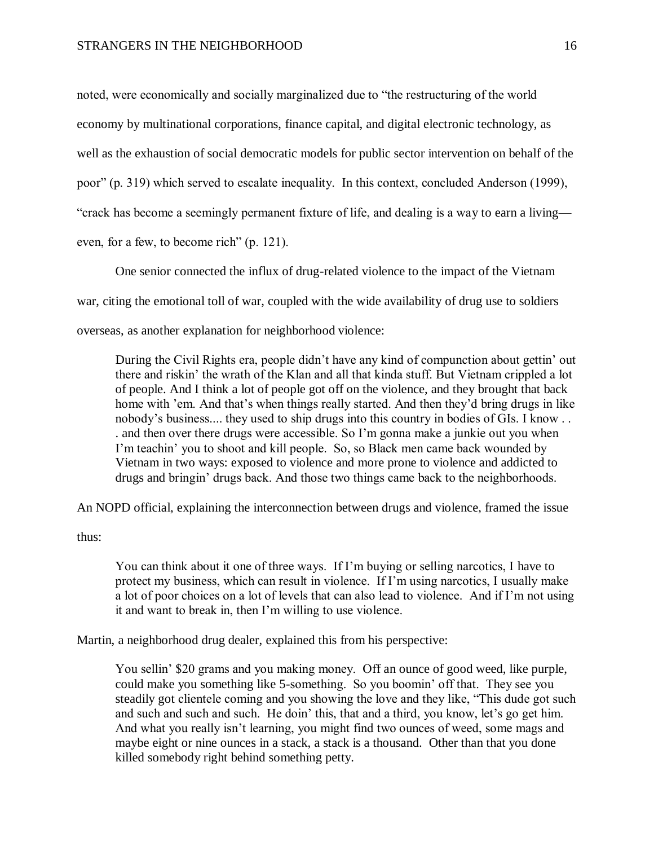noted, were economically and socially marginalized due to "the restructuring of the world economy by multinational corporations, finance capital, and digital electronic technology, as well as the exhaustion of social democratic models for public sector intervention on behalf of the poor" (p. 319) which served to escalate inequality. In this context, concluded Anderson (1999), "crack has become a seemingly permanent fixture of life, and dealing is a way to earn a living even, for a few, to become rich" (p. 121).

One senior connected the influx of drug-related violence to the impact of the Vietnam war, citing the emotional toll of war, coupled with the wide availability of drug use to soldiers overseas, as another explanation for neighborhood violence:

During the Civil Rights era, people didn't have any kind of compunction about gettin' out there and riskin' the wrath of the Klan and all that kinda stuff. But Vietnam crippled a lot of people. And I think a lot of people got off on the violence, and they brought that back home with 'em. And that's when things really started. And then they'd bring drugs in like nobody's business.... they used to ship drugs into this country in bodies of GIs. I know . . . and then over there drugs were accessible. So I'm gonna make a junkie out you when I'm teachin' you to shoot and kill people. So, so Black men came back wounded by Vietnam in two ways: exposed to violence and more prone to violence and addicted to drugs and bringin' drugs back. And those two things came back to the neighborhoods.

An NOPD official, explaining the interconnection between drugs and violence, framed the issue

thus:

You can think about it one of three ways. If I'm buying or selling narcotics, I have to protect my business, which can result in violence. If I'm using narcotics, I usually make a lot of poor choices on a lot of levels that can also lead to violence. And if I'm not using it and want to break in, then I'm willing to use violence.

Martin, a neighborhood drug dealer, explained this from his perspective:

You sellin' \$20 grams and you making money. Off an ounce of good weed, like purple, could make you something like 5-something. So you boomin' off that. They see you steadily got clientele coming and you showing the love and they like, "This dude got such and such and such and such. He doin' this, that and a third, you know, let's go get him. And what you really isn't learning, you might find two ounces of weed, some mags and maybe eight or nine ounces in a stack, a stack is a thousand. Other than that you done killed somebody right behind something petty.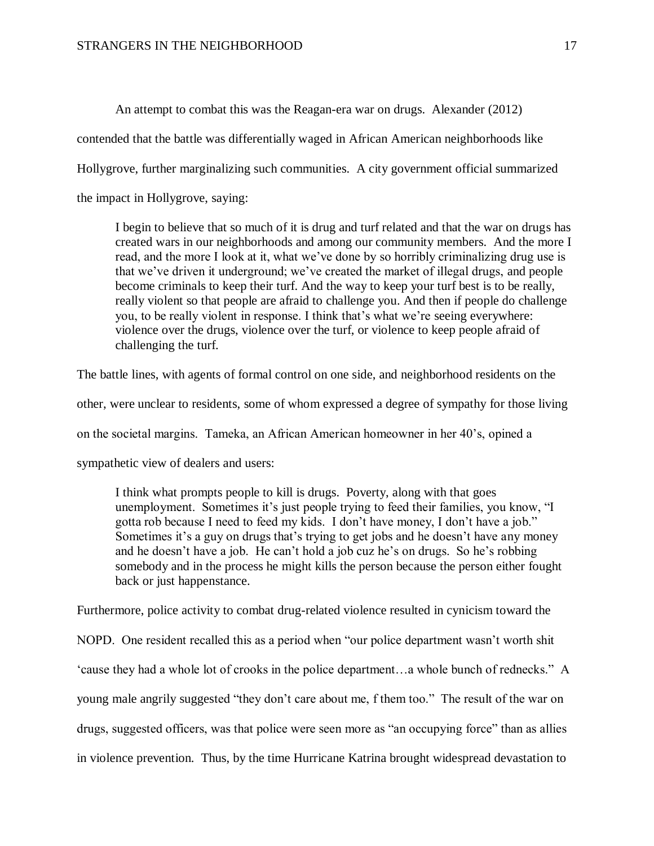An attempt to combat this was the Reagan-era war on drugs. Alexander (2012) contended that the battle was differentially waged in African American neighborhoods like Hollygrove, further marginalizing such communities. A city government official summarized the impact in Hollygrove, saying:

I begin to believe that so much of it is drug and turf related and that the war on drugs has created wars in our neighborhoods and among our community members. And the more I read, and the more I look at it, what we've done by so horribly criminalizing drug use is that we've driven it underground; we've created the market of illegal drugs, and people become criminals to keep their turf. And the way to keep your turf best is to be really, really violent so that people are afraid to challenge you. And then if people do challenge you, to be really violent in response. I think that's what we're seeing everywhere: violence over the drugs, violence over the turf, or violence to keep people afraid of challenging the turf.

The battle lines, with agents of formal control on one side, and neighborhood residents on the other, were unclear to residents, some of whom expressed a degree of sympathy for those living on the societal margins. Tameka, an African American homeowner in her 40's, opined a sympathetic view of dealers and users:

I think what prompts people to kill is drugs. Poverty, along with that goes unemployment. Sometimes it's just people trying to feed their families, you know, "I gotta rob because I need to feed my kids. I don't have money, I don't have a job." Sometimes it's a guy on drugs that's trying to get jobs and he doesn't have any money and he doesn't have a job. He can't hold a job cuz he's on drugs. So he's robbing somebody and in the process he might kills the person because the person either fought back or just happenstance.

Furthermore, police activity to combat drug-related violence resulted in cynicism toward the NOPD. One resident recalled this as a period when "our police department wasn't worth shit 'cause they had a whole lot of crooks in the police department…a whole bunch of rednecks." A young male angrily suggested "they don't care about me, f them too." The result of the war on drugs, suggested officers, was that police were seen more as "an occupying force" than as allies in violence prevention. Thus, by the time Hurricane Katrina brought widespread devastation to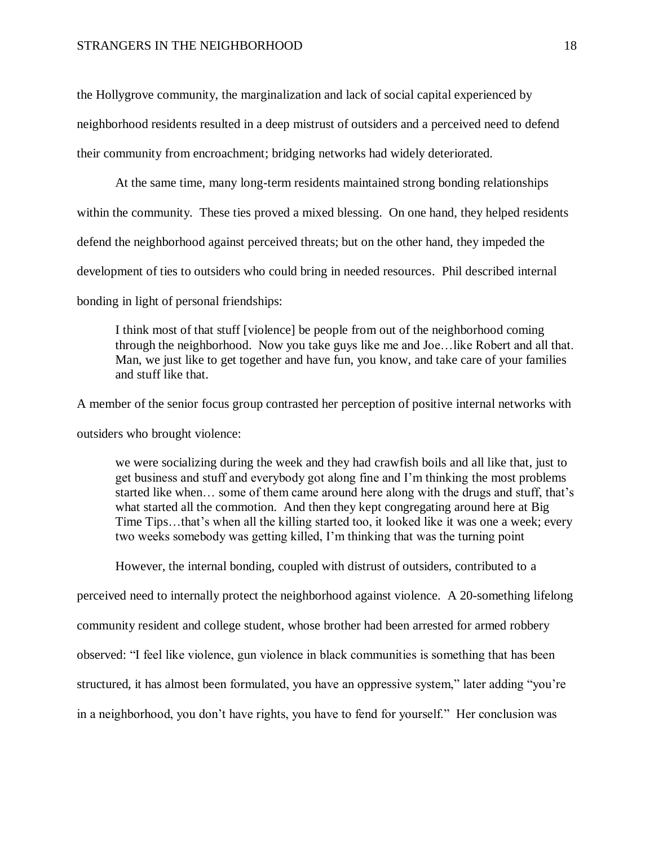the Hollygrove community, the marginalization and lack of social capital experienced by neighborhood residents resulted in a deep mistrust of outsiders and a perceived need to defend their community from encroachment; bridging networks had widely deteriorated.

At the same time, many long-term residents maintained strong bonding relationships within the community. These ties proved a mixed blessing. On one hand, they helped residents defend the neighborhood against perceived threats; but on the other hand, they impeded the development of ties to outsiders who could bring in needed resources. Phil described internal bonding in light of personal friendships:

I think most of that stuff [violence] be people from out of the neighborhood coming through the neighborhood. Now you take guys like me and Joe…like Robert and all that. Man, we just like to get together and have fun, you know, and take care of your families and stuff like that.

A member of the senior focus group contrasted her perception of positive internal networks with outsiders who brought violence:

we were socializing during the week and they had crawfish boils and all like that, just to get business and stuff and everybody got along fine and I'm thinking the most problems started like when… some of them came around here along with the drugs and stuff, that's what started all the commotion. And then they kept congregating around here at Big Time Tips…that's when all the killing started too, it looked like it was one a week; every two weeks somebody was getting killed, I'm thinking that was the turning point

However, the internal bonding, coupled with distrust of outsiders, contributed to a

perceived need to internally protect the neighborhood against violence. A 20-something lifelong community resident and college student, whose brother had been arrested for armed robbery observed: "I feel like violence, gun violence in black communities is something that has been structured, it has almost been formulated, you have an oppressive system," later adding "you're in a neighborhood, you don't have rights, you have to fend for yourself." Her conclusion was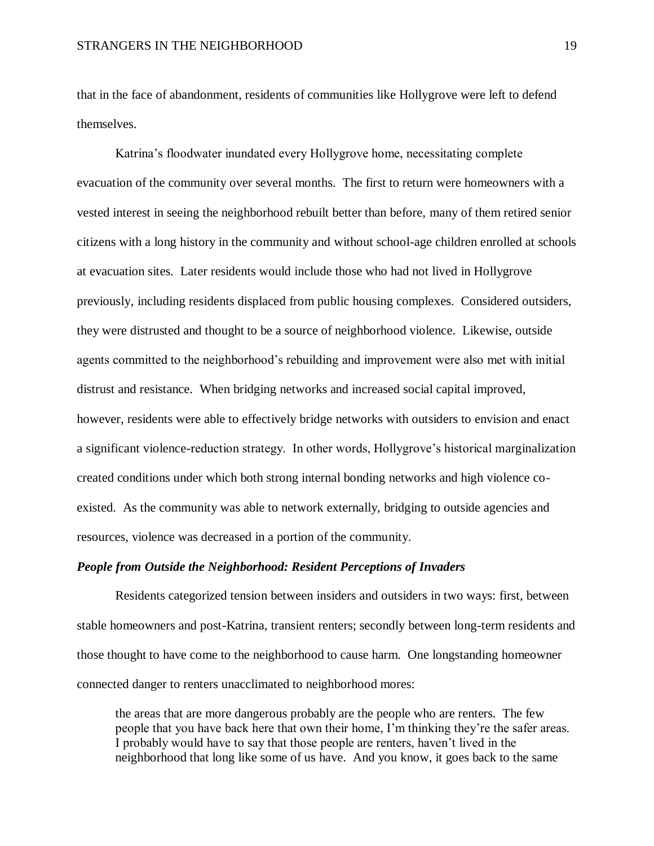that in the face of abandonment, residents of communities like Hollygrove were left to defend themselves.

Katrina's floodwater inundated every Hollygrove home, necessitating complete evacuation of the community over several months. The first to return were homeowners with a vested interest in seeing the neighborhood rebuilt better than before, many of them retired senior citizens with a long history in the community and without school-age children enrolled at schools at evacuation sites. Later residents would include those who had not lived in Hollygrove previously, including residents displaced from public housing complexes. Considered outsiders, they were distrusted and thought to be a source of neighborhood violence. Likewise, outside agents committed to the neighborhood's rebuilding and improvement were also met with initial distrust and resistance. When bridging networks and increased social capital improved, however, residents were able to effectively bridge networks with outsiders to envision and enact a significant violence-reduction strategy. In other words, Hollygrove's historical marginalization created conditions under which both strong internal bonding networks and high violence coexisted. As the community was able to network externally, bridging to outside agencies and resources, violence was decreased in a portion of the community.

## *People from Outside the Neighborhood: Resident Perceptions of Invaders*

Residents categorized tension between insiders and outsiders in two ways: first, between stable homeowners and post-Katrina, transient renters; secondly between long-term residents and those thought to have come to the neighborhood to cause harm. One longstanding homeowner connected danger to renters unacclimated to neighborhood mores:

the areas that are more dangerous probably are the people who are renters. The few people that you have back here that own their home, I'm thinking they're the safer areas. I probably would have to say that those people are renters, haven't lived in the neighborhood that long like some of us have. And you know, it goes back to the same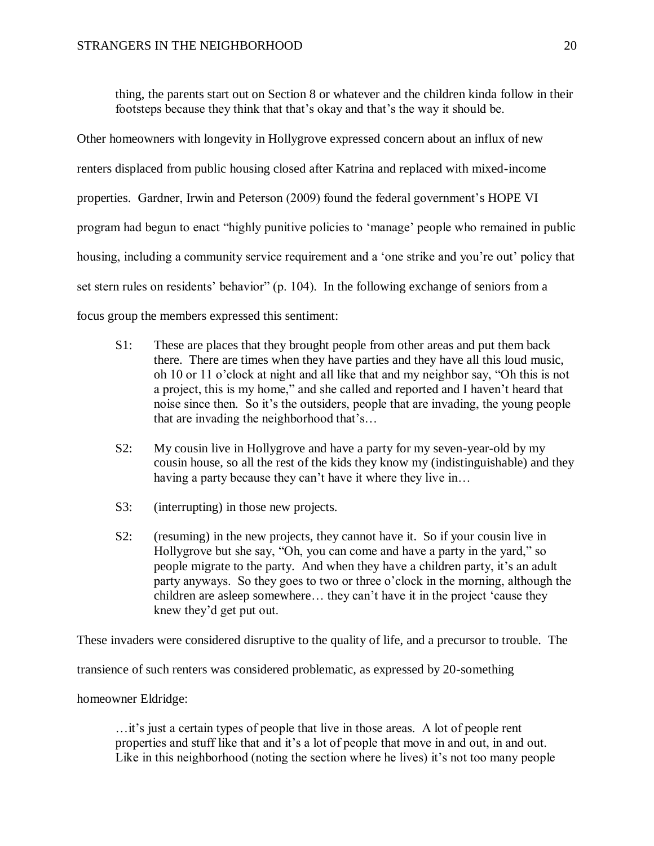thing, the parents start out on Section 8 or whatever and the children kinda follow in their footsteps because they think that that's okay and that's the way it should be.

Other homeowners with longevity in Hollygrove expressed concern about an influx of new renters displaced from public housing closed after Katrina and replaced with mixed-income properties. Gardner, Irwin and Peterson (2009) found the federal government's HOPE VI program had begun to enact "highly punitive policies to 'manage' people who remained in public housing, including a community service requirement and a 'one strike and you're out' policy that set stern rules on residents' behavior" (p. 104). In the following exchange of seniors from a focus group the members expressed this sentiment:

- S1: These are places that they brought people from other areas and put them back there. There are times when they have parties and they have all this loud music, oh 10 or 11 o'clock at night and all like that and my neighbor say, "Oh this is not a project, this is my home," and she called and reported and I haven't heard that noise since then. So it's the outsiders, people that are invading, the young people that are invading the neighborhood that's…
- S2: My cousin live in Hollygrove and have a party for my seven-year-old by my cousin house, so all the rest of the kids they know my (indistinguishable) and they having a party because they can't have it where they live in...
- S3: (interrupting) in those new projects.
- S2: (resuming) in the new projects, they cannot have it. So if your cousin live in Hollygrove but she say, "Oh, you can come and have a party in the yard," so people migrate to the party. And when they have a children party, it's an adult party anyways. So they goes to two or three o'clock in the morning, although the children are asleep somewhere… they can't have it in the project 'cause they knew they'd get put out.

These invaders were considered disruptive to the quality of life, and a precursor to trouble. The

transience of such renters was considered problematic, as expressed by 20-something

homeowner Eldridge:

…it's just a certain types of people that live in those areas. A lot of people rent properties and stuff like that and it's a lot of people that move in and out, in and out. Like in this neighborhood (noting the section where he lives) it's not too many people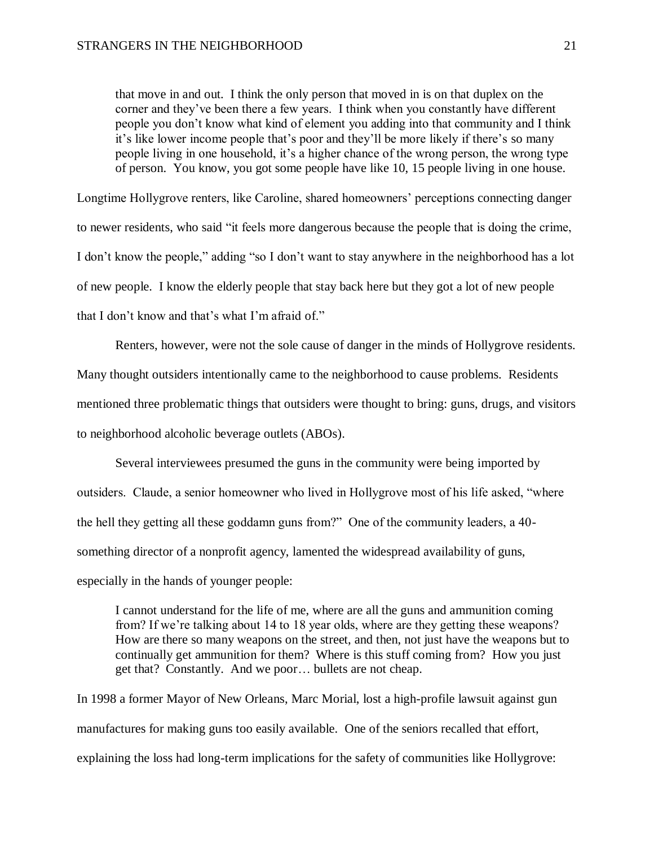that move in and out. I think the only person that moved in is on that duplex on the corner and they've been there a few years. I think when you constantly have different people you don't know what kind of element you adding into that community and I think it's like lower income people that's poor and they'll be more likely if there's so many people living in one household, it's a higher chance of the wrong person, the wrong type of person. You know, you got some people have like 10, 15 people living in one house.

Longtime Hollygrove renters, like Caroline, shared homeowners' perceptions connecting danger to newer residents, who said "it feels more dangerous because the people that is doing the crime, I don't know the people," adding "so I don't want to stay anywhere in the neighborhood has a lot of new people. I know the elderly people that stay back here but they got a lot of new people that I don't know and that's what I'm afraid of."

Renters, however, were not the sole cause of danger in the minds of Hollygrove residents.

Many thought outsiders intentionally came to the neighborhood to cause problems. Residents mentioned three problematic things that outsiders were thought to bring: guns, drugs, and visitors to neighborhood alcoholic beverage outlets (ABOs).

Several interviewees presumed the guns in the community were being imported by outsiders. Claude, a senior homeowner who lived in Hollygrove most of his life asked, "where the hell they getting all these goddamn guns from?" One of the community leaders, a 40 something director of a nonprofit agency, lamented the widespread availability of guns, especially in the hands of younger people:

I cannot understand for the life of me, where are all the guns and ammunition coming from? If we're talking about 14 to 18 year olds, where are they getting these weapons? How are there so many weapons on the street, and then, not just have the weapons but to continually get ammunition for them? Where is this stuff coming from? How you just get that? Constantly. And we poor… bullets are not cheap.

In 1998 a former Mayor of New Orleans, Marc Morial, lost a high-profile lawsuit against gun manufactures for making guns too easily available. One of the seniors recalled that effort, explaining the loss had long-term implications for the safety of communities like Hollygrove: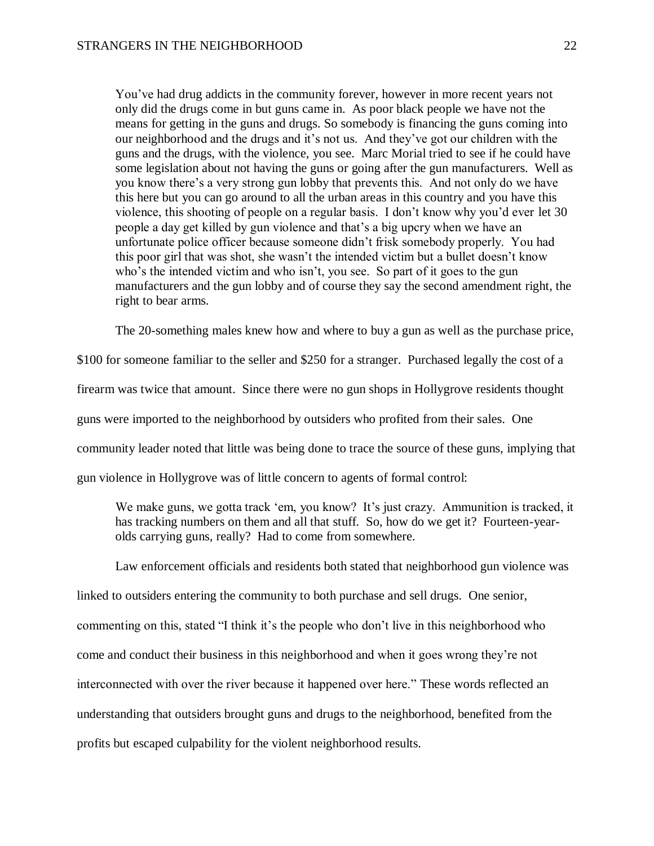You've had drug addicts in the community forever, however in more recent years not only did the drugs come in but guns came in. As poor black people we have not the means for getting in the guns and drugs. So somebody is financing the guns coming into our neighborhood and the drugs and it's not us. And they've got our children with the guns and the drugs, with the violence, you see. Marc Morial tried to see if he could have some legislation about not having the guns or going after the gun manufacturers. Well as you know there's a very strong gun lobby that prevents this. And not only do we have this here but you can go around to all the urban areas in this country and you have this violence, this shooting of people on a regular basis. I don't know why you'd ever let 30 people a day get killed by gun violence and that's a big upcry when we have an unfortunate police officer because someone didn't frisk somebody properly. You had this poor girl that was shot, she wasn't the intended victim but a bullet doesn't know who's the intended victim and who isn't, you see. So part of it goes to the gun manufacturers and the gun lobby and of course they say the second amendment right, the right to bear arms.

The 20-something males knew how and where to buy a gun as well as the purchase price,

\$100 for someone familiar to the seller and \$250 for a stranger. Purchased legally the cost of a firearm was twice that amount. Since there were no gun shops in Hollygrove residents thought guns were imported to the neighborhood by outsiders who profited from their sales. One community leader noted that little was being done to trace the source of these guns, implying that gun violence in Hollygrove was of little concern to agents of formal control:

We make guns, we gotta track 'em, you know? It's just crazy. Ammunition is tracked, it has tracking numbers on them and all that stuff. So, how do we get it? Fourteen-yearolds carrying guns, really? Had to come from somewhere.

Law enforcement officials and residents both stated that neighborhood gun violence was linked to outsiders entering the community to both purchase and sell drugs. One senior, commenting on this, stated "I think it's the people who don't live in this neighborhood who come and conduct their business in this neighborhood and when it goes wrong they're not interconnected with over the river because it happened over here." These words reflected an understanding that outsiders brought guns and drugs to the neighborhood, benefited from the profits but escaped culpability for the violent neighborhood results.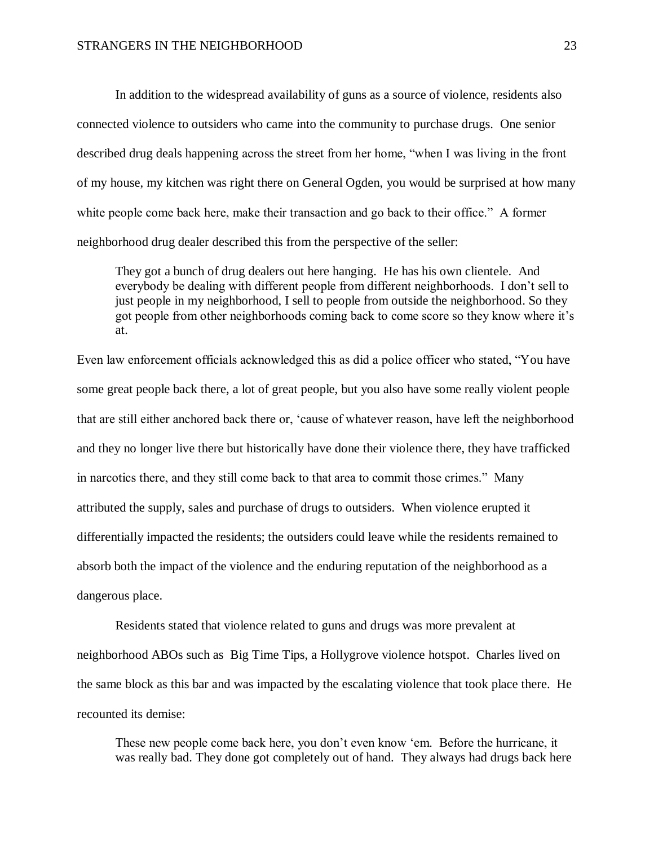In addition to the widespread availability of guns as a source of violence, residents also connected violence to outsiders who came into the community to purchase drugs. One senior described drug deals happening across the street from her home, "when I was living in the front of my house, my kitchen was right there on General Ogden, you would be surprised at how many white people come back here, make their transaction and go back to their office." A former neighborhood drug dealer described this from the perspective of the seller:

They got a bunch of drug dealers out here hanging. He has his own clientele. And everybody be dealing with different people from different neighborhoods. I don't sell to just people in my neighborhood, I sell to people from outside the neighborhood. So they got people from other neighborhoods coming back to come score so they know where it's at.

Even law enforcement officials acknowledged this as did a police officer who stated, "You have some great people back there, a lot of great people, but you also have some really violent people that are still either anchored back there or, 'cause of whatever reason, have left the neighborhood and they no longer live there but historically have done their violence there, they have trafficked in narcotics there, and they still come back to that area to commit those crimes." Many attributed the supply, sales and purchase of drugs to outsiders. When violence erupted it differentially impacted the residents; the outsiders could leave while the residents remained to absorb both the impact of the violence and the enduring reputation of the neighborhood as a dangerous place.

Residents stated that violence related to guns and drugs was more prevalent at neighborhood ABOs such as Big Time Tips, a Hollygrove violence hotspot. Charles lived on the same block as this bar and was impacted by the escalating violence that took place there. He recounted its demise:

These new people come back here, you don't even know 'em. Before the hurricane, it was really bad. They done got completely out of hand. They always had drugs back here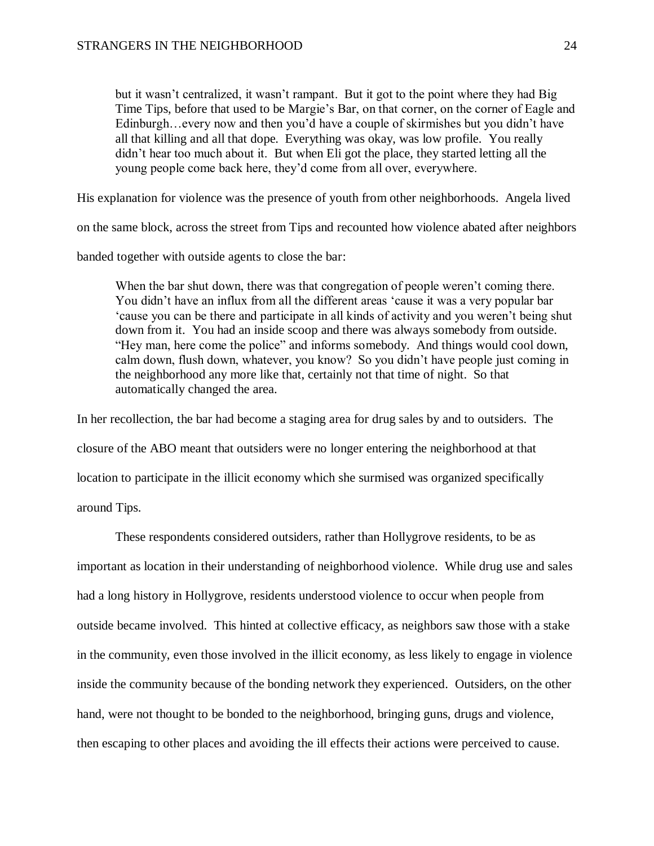but it wasn't centralized, it wasn't rampant. But it got to the point where they had Big Time Tips, before that used to be Margie's Bar, on that corner, on the corner of Eagle and Edinburgh…every now and then you'd have a couple of skirmishes but you didn't have all that killing and all that dope. Everything was okay, was low profile. You really didn't hear too much about it. But when Eli got the place, they started letting all the young people come back here, they'd come from all over, everywhere.

His explanation for violence was the presence of youth from other neighborhoods. Angela lived

on the same block, across the street from Tips and recounted how violence abated after neighbors

banded together with outside agents to close the bar:

When the bar shut down, there was that congregation of people weren't coming there. You didn't have an influx from all the different areas 'cause it was a very popular bar 'cause you can be there and participate in all kinds of activity and you weren't being shut down from it. You had an inside scoop and there was always somebody from outside. "Hey man, here come the police" and informs somebody. And things would cool down, calm down, flush down, whatever, you know? So you didn't have people just coming in the neighborhood any more like that, certainly not that time of night. So that automatically changed the area.

In her recollection, the bar had become a staging area for drug sales by and to outsiders. The closure of the ABO meant that outsiders were no longer entering the neighborhood at that location to participate in the illicit economy which she surmised was organized specifically around Tips.

These respondents considered outsiders, rather than Hollygrove residents, to be as important as location in their understanding of neighborhood violence. While drug use and sales had a long history in Hollygrove, residents understood violence to occur when people from outside became involved. This hinted at collective efficacy, as neighbors saw those with a stake in the community, even those involved in the illicit economy, as less likely to engage in violence inside the community because of the bonding network they experienced. Outsiders, on the other hand, were not thought to be bonded to the neighborhood, bringing guns, drugs and violence, then escaping to other places and avoiding the ill effects their actions were perceived to cause.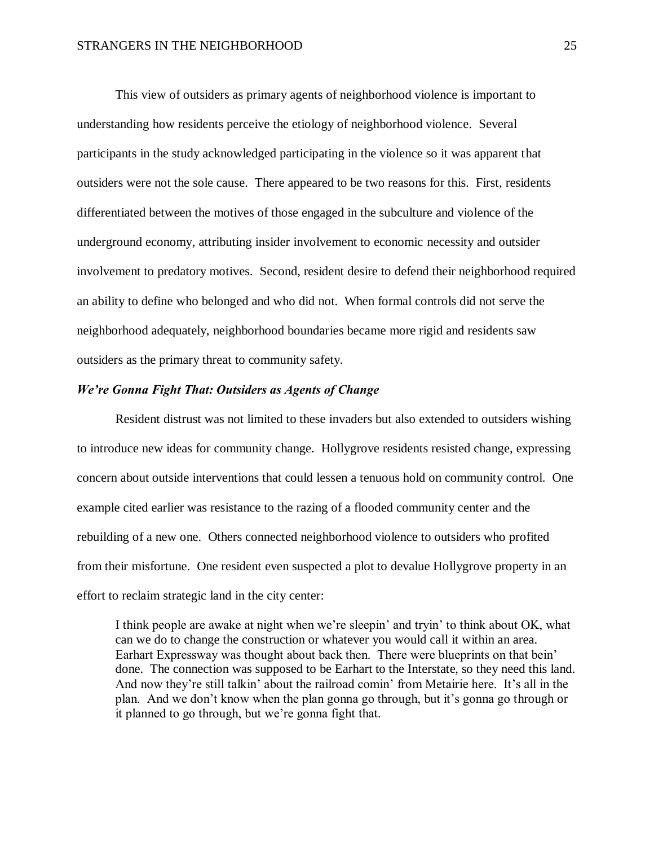This view of outsiders as primary agents of neighborhood violence is important to understanding how residents perceive the etiology of neighborhood violence. Several participants in the study acknowledged participating in the violence so it was apparent that outsiders were not the sole cause. There appeared to be two reasons for this. First, residents differentiated between the motives of those engaged in the subculture and violence of the underground economy, attributing insider involvement to economic necessity and outsider involvement to predatory motives. Second, resident desire to defend their neighborhood required an ability to define who belonged and who did not. When formal controls did not serve the neighborhood adequately, neighborhood boundaries became more rigid and residents saw outsiders as the primary threat to community safety.

# *We're Gonna Fight That: Outsiders as Agents of Change*

Resident distrust was not limited to these invaders but also extended to outsiders wishing to introduce new ideas for community change. Hollygrove residents resisted change, expressing concern about outside interventions that could lessen a tenuous hold on community control. One example cited earlier was resistance to the razing of a flooded community center and the rebuilding of a new one. Others connected neighborhood violence to outsiders who profited from their misfortune. One resident even suspected a plot to devalue Hollygrove property in an effort to reclaim strategic land in the city center:

I think people are awake at night when we're sleepin' and tryin' to think about OK, what can we do to change the construction or whatever you would call it within an area. Earhart Expressway was thought about back then. There were blueprints on that bein' done. The connection was supposed to be Earhart to the Interstate, so they need this land. And now they're still talkin' about the railroad comin' from Metairie here. It's all in the plan. And we don't know when the plan gonna go through, but it's gonna go through or it planned to go through, but we're gonna fight that.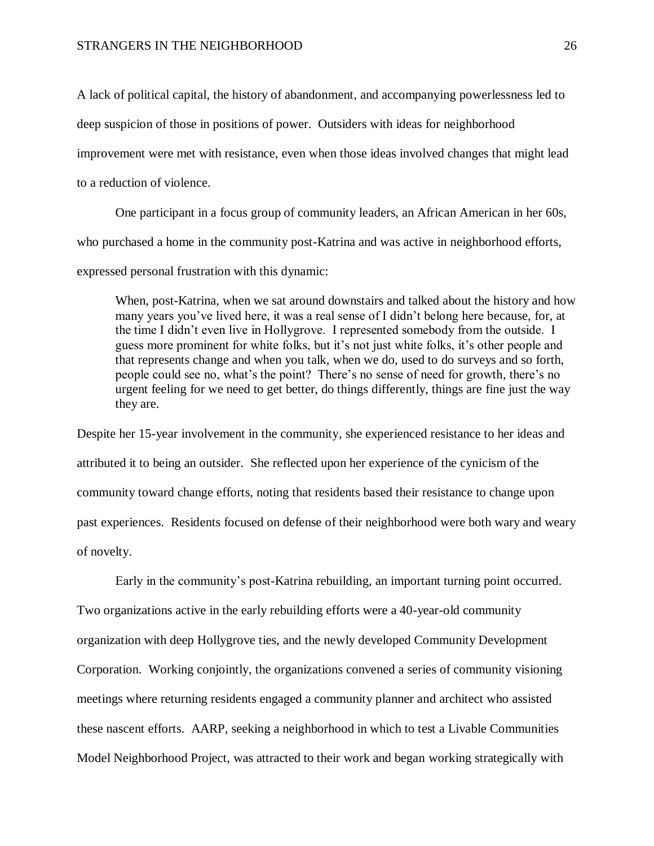A lack of political capital, the history of abandonment, and accompanying powerlessness led to deep suspicion of those in positions of power. Outsiders with ideas for neighborhood improvement were met with resistance, even when those ideas involved changes that might lead to a reduction of violence.

One participant in a focus group of community leaders, an African American in her 60s, who purchased a home in the community post-Katrina and was active in neighborhood efforts, expressed personal frustration with this dynamic:

When, post-Katrina, when we sat around downstairs and talked about the history and how many years you've lived here, it was a real sense of I didn't belong here because, for, at the time I didn't even live in Hollygrove. I represented somebody from the outside. I guess more prominent for white folks, but it's not just white folks, it's other people and that represents change and when you talk, when we do, used to do surveys and so forth, people could see no, what's the point? There's no sense of need for growth, there's no urgent feeling for we need to get better, do things differently, things are fine just the way they are.

Despite her 15-year involvement in the community, she experienced resistance to her ideas and attributed it to being an outsider. She reflected upon her experience of the cynicism of the community toward change efforts, noting that residents based their resistance to change upon past experiences. Residents focused on defense of their neighborhood were both wary and weary of novelty.

Early in the community's post-Katrina rebuilding, an important turning point occurred. Two organizations active in the early rebuilding efforts were a 40-year-old community organization with deep Hollygrove ties, and the newly developed Community Development Corporation. Working conjointly, the organizations convened a series of community visioning meetings where returning residents engaged a community planner and architect who assisted these nascent efforts. AARP, seeking a neighborhood in which to test a Livable Communities Model Neighborhood Project, was attracted to their work and began working strategically with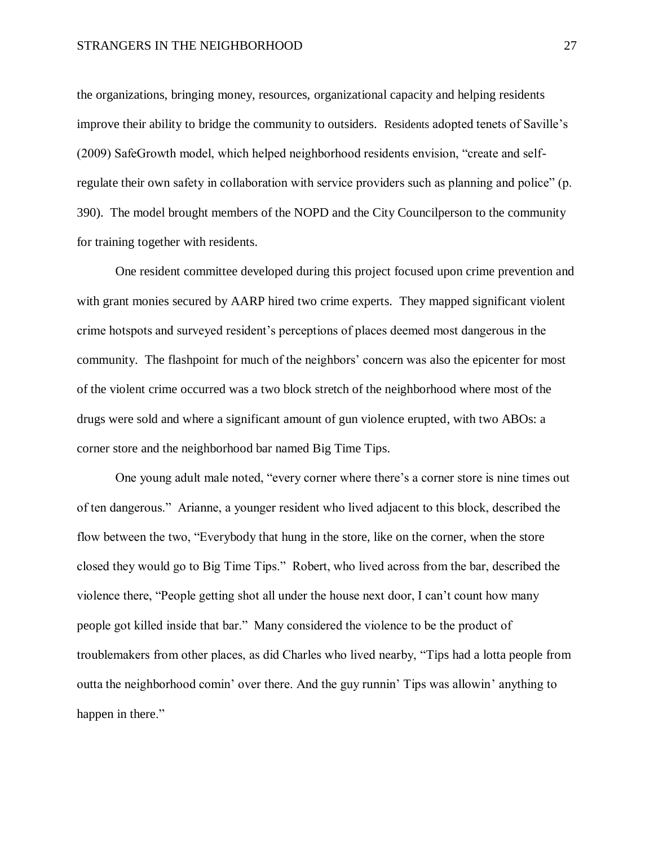the organizations, bringing money, resources, organizational capacity and helping residents improve their ability to bridge the community to outsiders. Residents adopted tenets of Saville's (2009) SafeGrowth model, which helped neighborhood residents envision, "create and selfregulate their own safety in collaboration with service providers such as planning and police" (p. 390). The model brought members of the NOPD and the City Councilperson to the community for training together with residents.

One resident committee developed during this project focused upon crime prevention and with grant monies secured by AARP hired two crime experts. They mapped significant violent crime hotspots and surveyed resident's perceptions of places deemed most dangerous in the community. The flashpoint for much of the neighbors' concern was also the epicenter for most of the violent crime occurred was a two block stretch of the neighborhood where most of the drugs were sold and where a significant amount of gun violence erupted, with two ABOs: a corner store and the neighborhood bar named Big Time Tips.

One young adult male noted, "every corner where there's a corner store is nine times out of ten dangerous." Arianne, a younger resident who lived adjacent to this block, described the flow between the two, "Everybody that hung in the store, like on the corner, when the store closed they would go to Big Time Tips." Robert, who lived across from the bar, described the violence there, "People getting shot all under the house next door, I can't count how many people got killed inside that bar." Many considered the violence to be the product of troublemakers from other places, as did Charles who lived nearby, "Tips had a lotta people from outta the neighborhood comin' over there. And the guy runnin' Tips was allowin' anything to happen in there."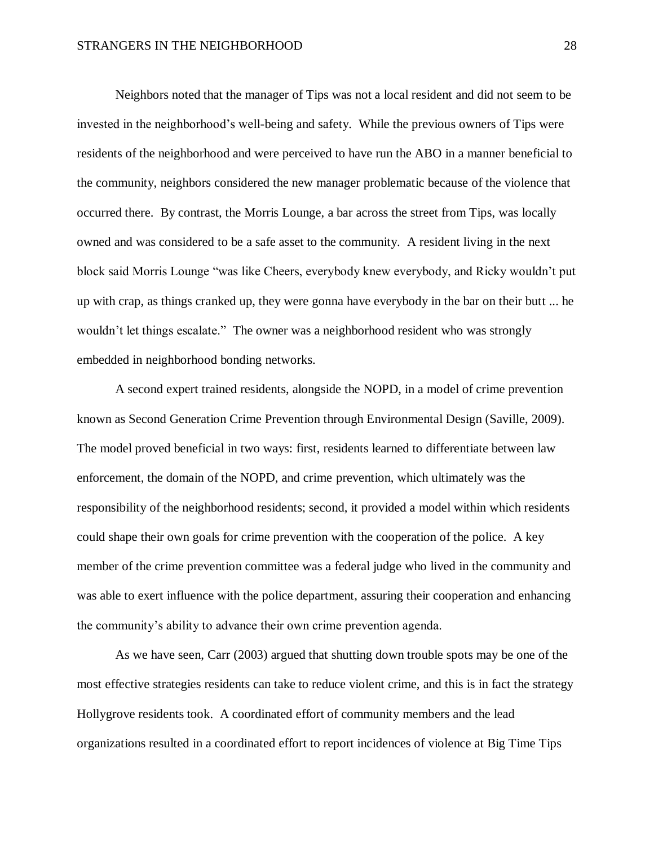Neighbors noted that the manager of Tips was not a local resident and did not seem to be invested in the neighborhood's well-being and safety. While the previous owners of Tips were residents of the neighborhood and were perceived to have run the ABO in a manner beneficial to the community, neighbors considered the new manager problematic because of the violence that occurred there. By contrast, the Morris Lounge, a bar across the street from Tips, was locally owned and was considered to be a safe asset to the community. A resident living in the next block said Morris Lounge "was like Cheers, everybody knew everybody, and Ricky wouldn't put up with crap, as things cranked up, they were gonna have everybody in the bar on their butt ... he wouldn't let things escalate." The owner was a neighborhood resident who was strongly embedded in neighborhood bonding networks.

A second expert trained residents, alongside the NOPD, in a model of crime prevention known as Second Generation Crime Prevention through Environmental Design (Saville, 2009). The model proved beneficial in two ways: first, residents learned to differentiate between law enforcement, the domain of the NOPD, and crime prevention, which ultimately was the responsibility of the neighborhood residents; second, it provided a model within which residents could shape their own goals for crime prevention with the cooperation of the police. A key member of the crime prevention committee was a federal judge who lived in the community and was able to exert influence with the police department, assuring their cooperation and enhancing the community's ability to advance their own crime prevention agenda.

As we have seen, Carr (2003) argued that shutting down trouble spots may be one of the most effective strategies residents can take to reduce violent crime, and this is in fact the strategy Hollygrove residents took. A coordinated effort of community members and the lead organizations resulted in a coordinated effort to report incidences of violence at Big Time Tips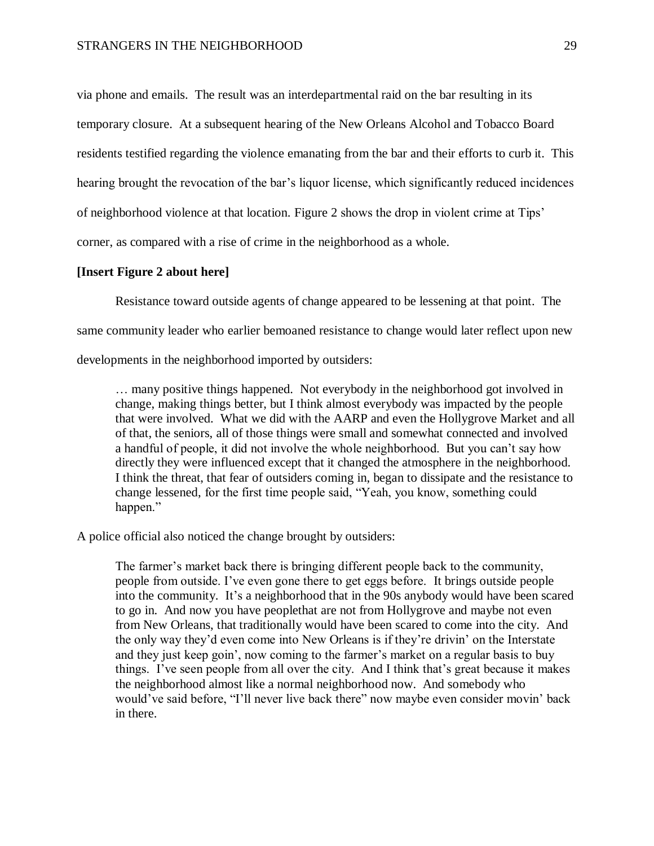via phone and emails. The result was an interdepartmental raid on the bar resulting in its temporary closure. At a subsequent hearing of the New Orleans Alcohol and Tobacco Board residents testified regarding the violence emanating from the bar and their efforts to curb it. This hearing brought the revocation of the bar's liquor license, which significantly reduced incidences of neighborhood violence at that location. Figure 2 shows the drop in violent crime at Tips' corner, as compared with a rise of crime in the neighborhood as a whole.

## **[Insert Figure 2 about here]**

Resistance toward outside agents of change appeared to be lessening at that point. The

same community leader who earlier bemoaned resistance to change would later reflect upon new

developments in the neighborhood imported by outsiders:

… many positive things happened. Not everybody in the neighborhood got involved in change, making things better, but I think almost everybody was impacted by the people that were involved. What we did with the AARP and even the Hollygrove Market and all of that, the seniors, all of those things were small and somewhat connected and involved a handful of people, it did not involve the whole neighborhood. But you can't say how directly they were influenced except that it changed the atmosphere in the neighborhood. I think the threat, that fear of outsiders coming in, began to dissipate and the resistance to change lessened, for the first time people said, "Yeah, you know, something could happen."

A police official also noticed the change brought by outsiders:

The farmer's market back there is bringing different people back to the community, people from outside. I've even gone there to get eggs before. It brings outside people into the community. It's a neighborhood that in the 90s anybody would have been scared to go in. And now you have peoplethat are not from Hollygrove and maybe not even from New Orleans, that traditionally would have been scared to come into the city. And the only way they'd even come into New Orleans is if they're drivin' on the Interstate and they just keep goin', now coming to the farmer's market on a regular basis to buy things. I've seen people from all over the city. And I think that's great because it makes the neighborhood almost like a normal neighborhood now. And somebody who would've said before, "I'll never live back there" now maybe even consider movin' back in there.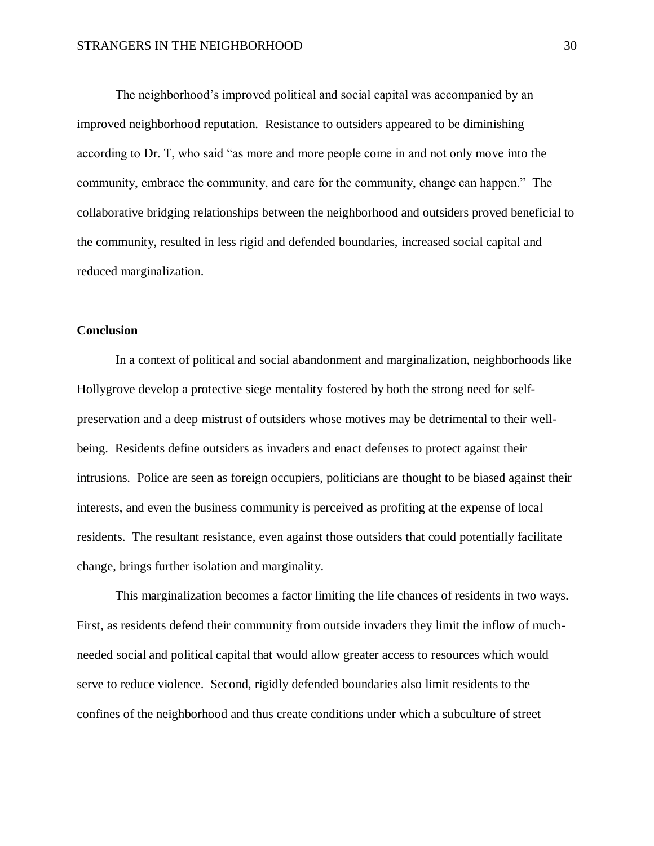The neighborhood's improved political and social capital was accompanied by an improved neighborhood reputation. Resistance to outsiders appeared to be diminishing according to Dr. T, who said "as more and more people come in and not only move into the community, embrace the community, and care for the community, change can happen." The collaborative bridging relationships between the neighborhood and outsiders proved beneficial to the community, resulted in less rigid and defended boundaries, increased social capital and reduced marginalization.

## **Conclusion**

In a context of political and social abandonment and marginalization, neighborhoods like Hollygrove develop a protective siege mentality fostered by both the strong need for selfpreservation and a deep mistrust of outsiders whose motives may be detrimental to their wellbeing. Residents define outsiders as invaders and enact defenses to protect against their intrusions. Police are seen as foreign occupiers, politicians are thought to be biased against their interests, and even the business community is perceived as profiting at the expense of local residents. The resultant resistance, even against those outsiders that could potentially facilitate change, brings further isolation and marginality.

This marginalization becomes a factor limiting the life chances of residents in two ways. First, as residents defend their community from outside invaders they limit the inflow of muchneeded social and political capital that would allow greater access to resources which would serve to reduce violence. Second, rigidly defended boundaries also limit residents to the confines of the neighborhood and thus create conditions under which a subculture of street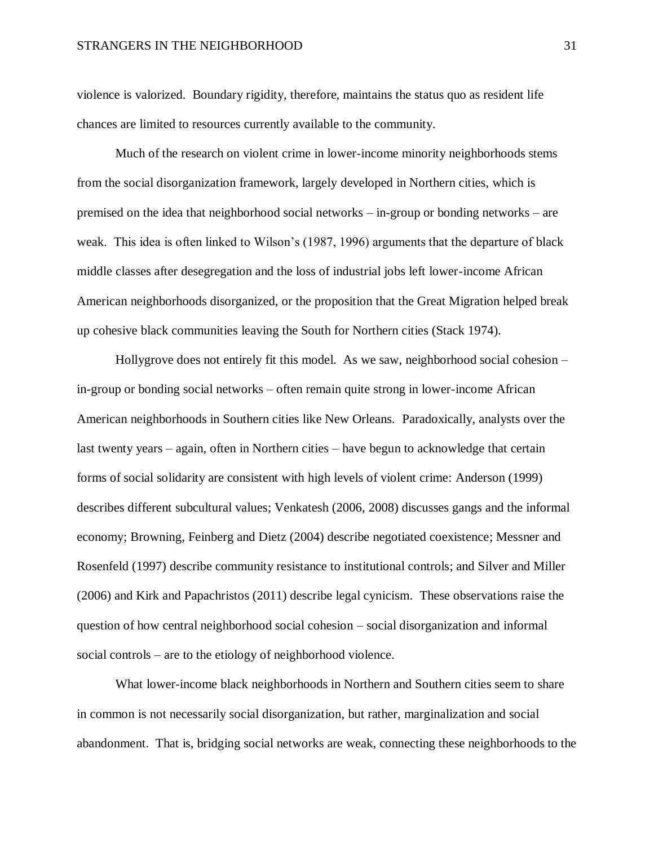violence is valorized. Boundary rigidity, therefore, maintains the status quo as resident life chances are limited to resources currently available to the community.

Much of the research on violent crime in lower-income minority neighborhoods stems from the social disorganization framework, largely developed in Northern cities, which is premised on the idea that neighborhood social networks – in-group or bonding networks – are weak. This idea is often linked to Wilson's (1987, 1996) arguments that the departure of black middle classes after desegregation and the loss of industrial jobs left lower-income African American neighborhoods disorganized, or the proposition that the Great Migration helped break up cohesive black communities leaving the South for Northern cities (Stack 1974).

Hollygrove does not entirely fit this model. As we saw, neighborhood social cohesion – in-group or bonding social networks – often remain quite strong in lower-income African American neighborhoods in Southern cities like New Orleans. Paradoxically, analysts over the last twenty years – again, often in Northern cities – have begun to acknowledge that certain forms of social solidarity are consistent with high levels of violent crime: Anderson (1999) describes different subcultural values; Venkatesh (2006, 2008) discusses gangs and the informal economy; Browning, Feinberg and Dietz (2004) describe negotiated coexistence; Messner and Rosenfeld (1997) describe community resistance to institutional controls; and Silver and Miller (2006) and Kirk and Papachristos (2011) describe legal cynicism. These observations raise the question of how central neighborhood social cohesion – social disorganization and informal social controls – are to the etiology of neighborhood violence.

What lower-income black neighborhoods in Northern and Southern cities seem to share in common is not necessarily social disorganization, but rather, marginalization and social abandonment. That is, bridging social networks are weak, connecting these neighborhoods to the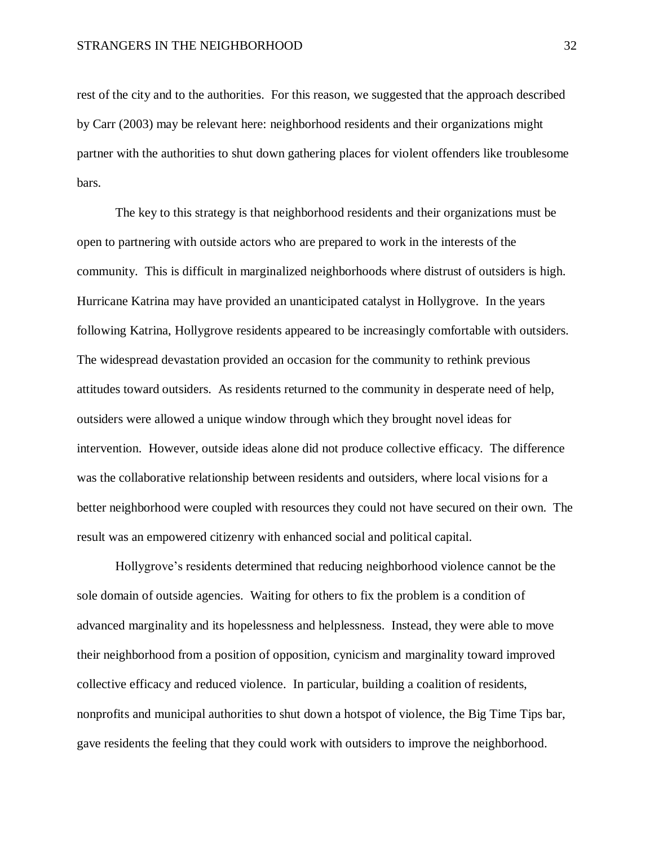rest of the city and to the authorities. For this reason, we suggested that the approach described by Carr (2003) may be relevant here: neighborhood residents and their organizations might partner with the authorities to shut down gathering places for violent offenders like troublesome bars.

The key to this strategy is that neighborhood residents and their organizations must be open to partnering with outside actors who are prepared to work in the interests of the community. This is difficult in marginalized neighborhoods where distrust of outsiders is high. Hurricane Katrina may have provided an unanticipated catalyst in Hollygrove. In the years following Katrina, Hollygrove residents appeared to be increasingly comfortable with outsiders. The widespread devastation provided an occasion for the community to rethink previous attitudes toward outsiders. As residents returned to the community in desperate need of help, outsiders were allowed a unique window through which they brought novel ideas for intervention. However, outside ideas alone did not produce collective efficacy. The difference was the collaborative relationship between residents and outsiders, where local visions for a better neighborhood were coupled with resources they could not have secured on their own. The result was an empowered citizenry with enhanced social and political capital.

Hollygrove's residents determined that reducing neighborhood violence cannot be the sole domain of outside agencies. Waiting for others to fix the problem is a condition of advanced marginality and its hopelessness and helplessness. Instead, they were able to move their neighborhood from a position of opposition, cynicism and marginality toward improved collective efficacy and reduced violence. In particular, building a coalition of residents, nonprofits and municipal authorities to shut down a hotspot of violence, the Big Time Tips bar, gave residents the feeling that they could work with outsiders to improve the neighborhood.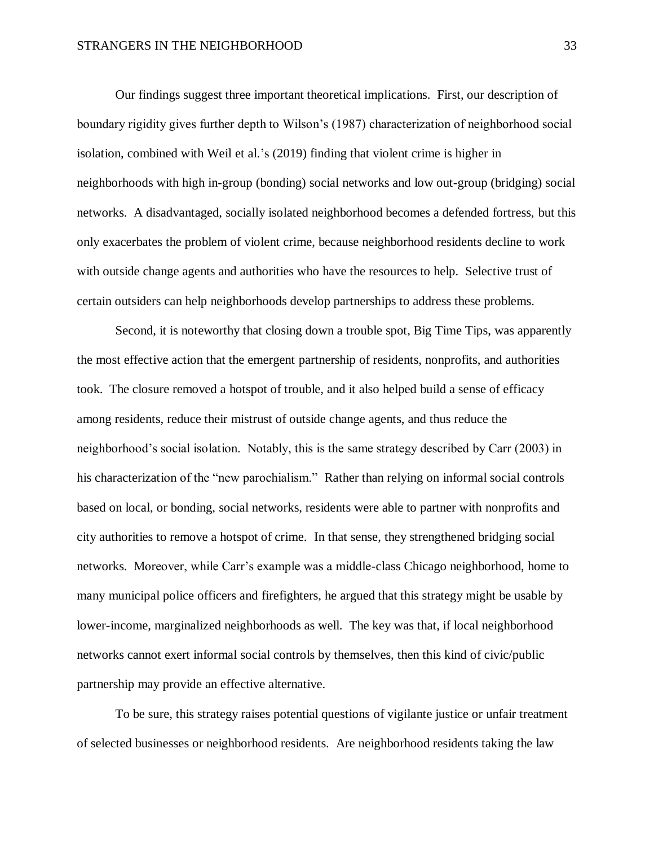Our findings suggest three important theoretical implications. First, our description of boundary rigidity gives further depth to Wilson's (1987) characterization of neighborhood social isolation, combined with Weil et al.'s (2019) finding that violent crime is higher in neighborhoods with high in-group (bonding) social networks and low out-group (bridging) social networks. A disadvantaged, socially isolated neighborhood becomes a defended fortress, but this only exacerbates the problem of violent crime, because neighborhood residents decline to work with outside change agents and authorities who have the resources to help. Selective trust of certain outsiders can help neighborhoods develop partnerships to address these problems.

Second, it is noteworthy that closing down a trouble spot, Big Time Tips, was apparently the most effective action that the emergent partnership of residents, nonprofits, and authorities took. The closure removed a hotspot of trouble, and it also helped build a sense of efficacy among residents, reduce their mistrust of outside change agents, and thus reduce the neighborhood's social isolation. Notably, this is the same strategy described by Carr (2003) in his characterization of the "new parochialism." Rather than relying on informal social controls based on local, or bonding, social networks, residents were able to partner with nonprofits and city authorities to remove a hotspot of crime. In that sense, they strengthened bridging social networks. Moreover, while Carr's example was a middle-class Chicago neighborhood, home to many municipal police officers and firefighters, he argued that this strategy might be usable by lower-income, marginalized neighborhoods as well. The key was that, if local neighborhood networks cannot exert informal social controls by themselves, then this kind of civic/public partnership may provide an effective alternative.

To be sure, this strategy raises potential questions of vigilante justice or unfair treatment of selected businesses or neighborhood residents. Are neighborhood residents taking the law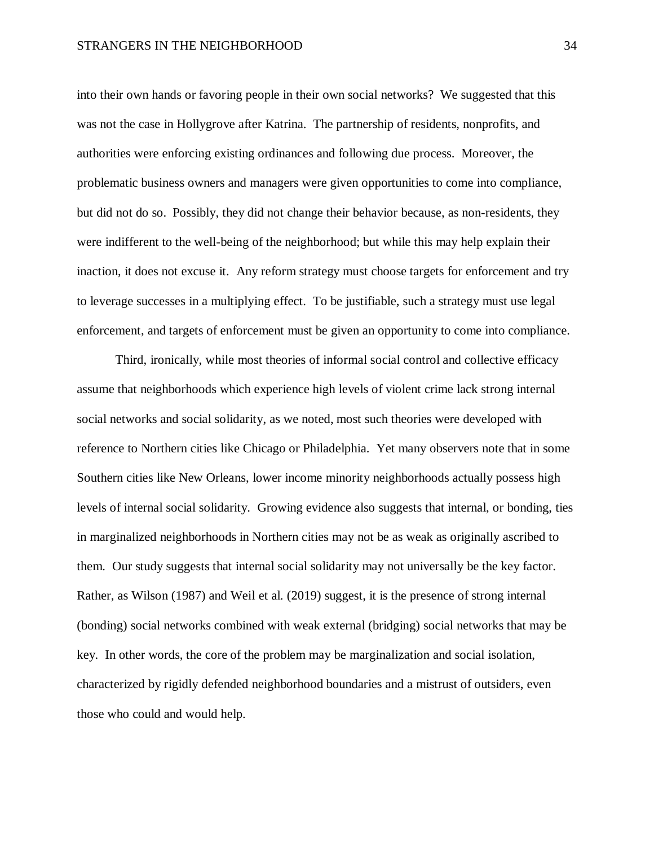into their own hands or favoring people in their own social networks? We suggested that this was not the case in Hollygrove after Katrina. The partnership of residents, nonprofits, and authorities were enforcing existing ordinances and following due process. Moreover, the problematic business owners and managers were given opportunities to come into compliance, but did not do so. Possibly, they did not change their behavior because, as non-residents, they were indifferent to the well-being of the neighborhood; but while this may help explain their inaction, it does not excuse it. Any reform strategy must choose targets for enforcement and try to leverage successes in a multiplying effect. To be justifiable, such a strategy must use legal enforcement, and targets of enforcement must be given an opportunity to come into compliance.

Third, ironically, while most theories of informal social control and collective efficacy assume that neighborhoods which experience high levels of violent crime lack strong internal social networks and social solidarity, as we noted, most such theories were developed with reference to Northern cities like Chicago or Philadelphia. Yet many observers note that in some Southern cities like New Orleans, lower income minority neighborhoods actually possess high levels of internal social solidarity. Growing evidence also suggests that internal, or bonding, ties in marginalized neighborhoods in Northern cities may not be as weak as originally ascribed to them. Our study suggests that internal social solidarity may not universally be the key factor. Rather, as Wilson (1987) and Weil et al. (2019) suggest, it is the presence of strong internal (bonding) social networks combined with weak external (bridging) social networks that may be key. In other words, the core of the problem may be marginalization and social isolation, characterized by rigidly defended neighborhood boundaries and a mistrust of outsiders, even those who could and would help.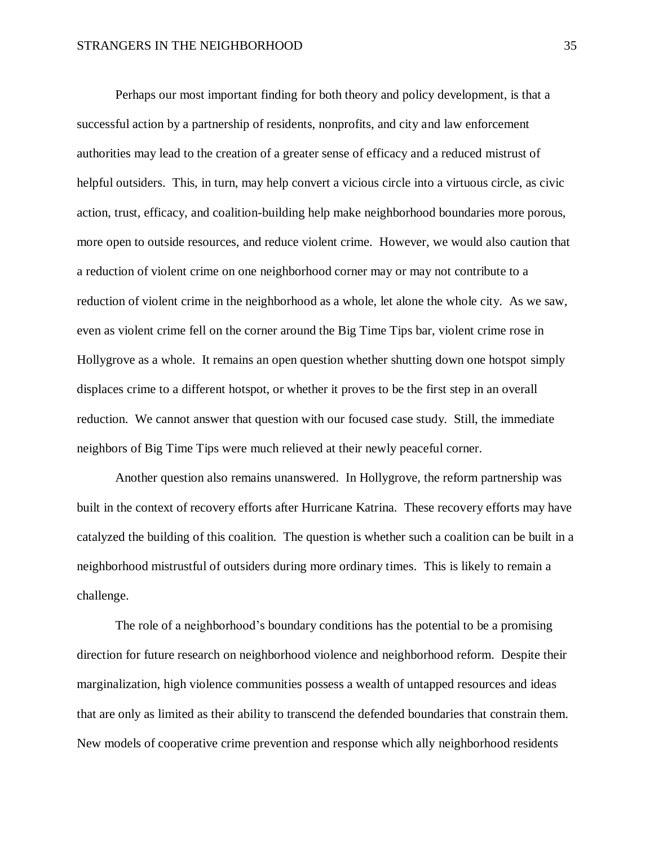Perhaps our most important finding for both theory and policy development, is that a successful action by a partnership of residents, nonprofits, and city and law enforcement authorities may lead to the creation of a greater sense of efficacy and a reduced mistrust of helpful outsiders. This, in turn, may help convert a vicious circle into a virtuous circle, as civic action, trust, efficacy, and coalition-building help make neighborhood boundaries more porous, more open to outside resources, and reduce violent crime. However, we would also caution that a reduction of violent crime on one neighborhood corner may or may not contribute to a reduction of violent crime in the neighborhood as a whole, let alone the whole city. As we saw, even as violent crime fell on the corner around the Big Time Tips bar, violent crime rose in Hollygrove as a whole. It remains an open question whether shutting down one hotspot simply displaces crime to a different hotspot, or whether it proves to be the first step in an overall reduction. We cannot answer that question with our focused case study. Still, the immediate neighbors of Big Time Tips were much relieved at their newly peaceful corner.

Another question also remains unanswered. In Hollygrove, the reform partnership was built in the context of recovery efforts after Hurricane Katrina. These recovery efforts may have catalyzed the building of this coalition. The question is whether such a coalition can be built in a neighborhood mistrustful of outsiders during more ordinary times. This is likely to remain a challenge.

The role of a neighborhood's boundary conditions has the potential to be a promising direction for future research on neighborhood violence and neighborhood reform. Despite their marginalization, high violence communities possess a wealth of untapped resources and ideas that are only as limited as their ability to transcend the defended boundaries that constrain them. New models of cooperative crime prevention and response which ally neighborhood residents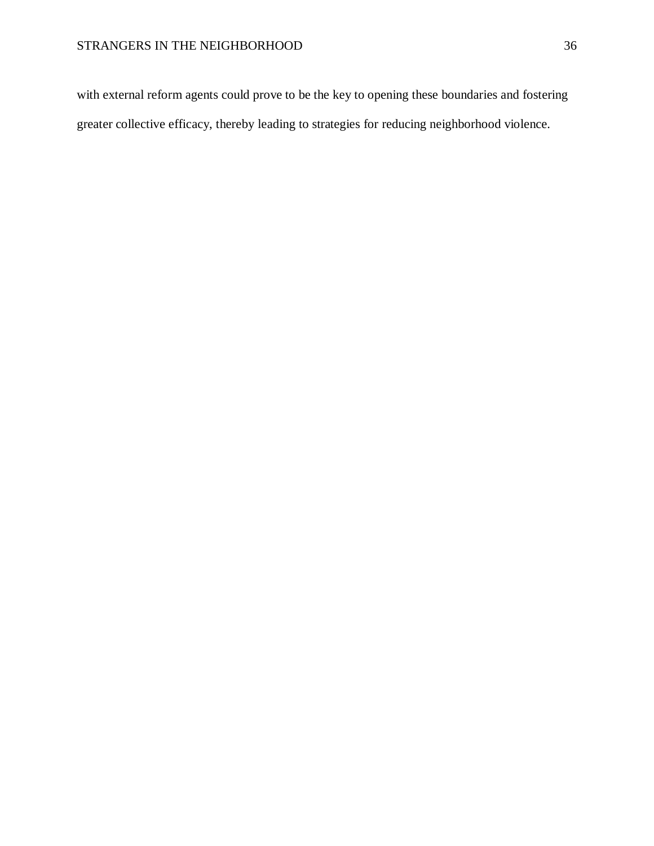with external reform agents could prove to be the key to opening these boundaries and fostering greater collective efficacy, thereby leading to strategies for reducing neighborhood violence.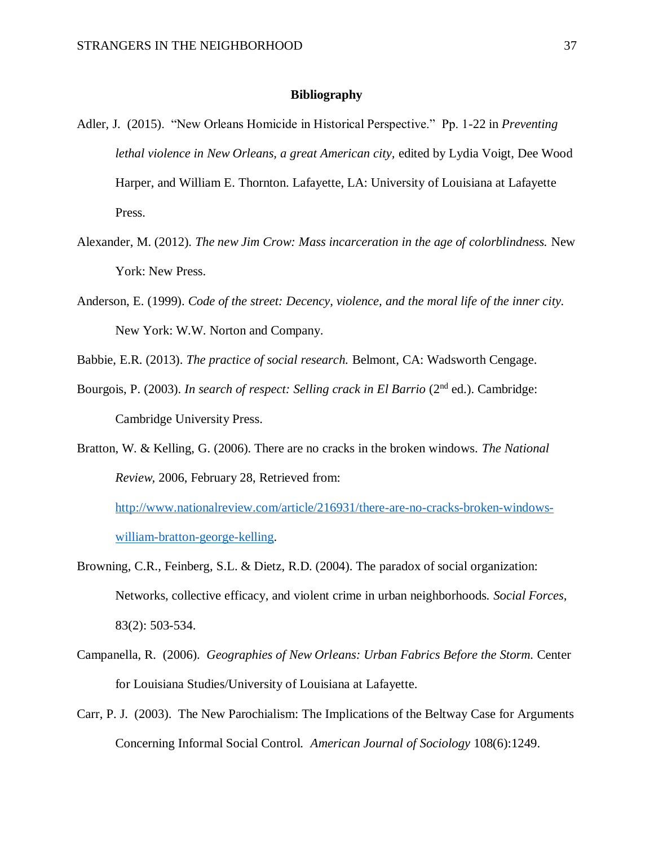## **Bibliography**

- Adler, J. (2015). "New Orleans Homicide in Historical Perspective." Pp. 1-22 in *Preventing lethal violence in New Orleans, a great American city,* edited by Lydia Voigt, Dee Wood Harper, and William E. Thornton. Lafayette, LA: University of Louisiana at Lafayette Press.
- Alexander, M. (2012). *The new Jim Crow: Mass incarceration in the age of colorblindness.* New York: New Press.
- Anderson, E. (1999). *Code of the street: Decency, violence, and the moral life of the inner city.*  New York: W.W. Norton and Company.
- Babbie, E.R. (2013). *The practice of social research.* Belmont, CA: Wadsworth Cengage.
- Bourgois, P. (2003). *In search of respect: Selling crack in El Barrio* (2<sup>nd</sup> ed.). Cambridge: Cambridge University Press.
- Bratton, W. & Kelling, G. (2006). There are no cracks in the broken windows. *The National Review,* 2006, February 28, Retrieved from:

[http://www.nationalreview.com/article/216931/there-are-no-cracks-broken-windows](http://www.nationalreview.com/article/216931/there-are-no-cracks-broken-windows-william-bratton-george-kelling)[william-bratton-george-kelling.](http://www.nationalreview.com/article/216931/there-are-no-cracks-broken-windows-william-bratton-george-kelling)

- Browning, C.R., Feinberg, S.L. & Dietz, R.D. (2004). The paradox of social organization: Networks, collective efficacy, and violent crime in urban neighborhoods. *Social Forces,*  83(2): 503-534.
- Campanella, R. (2006). *Geographies of New Orleans: Urban Fabrics Before the Storm.* Center for Louisiana Studies/University of Louisiana at Lafayette.
- Carr, P. J. (2003). The New Parochialism: The Implications of the Beltway Case for Arguments Concerning Informal Social Control. *American Journal of Sociology* 108(6):1249.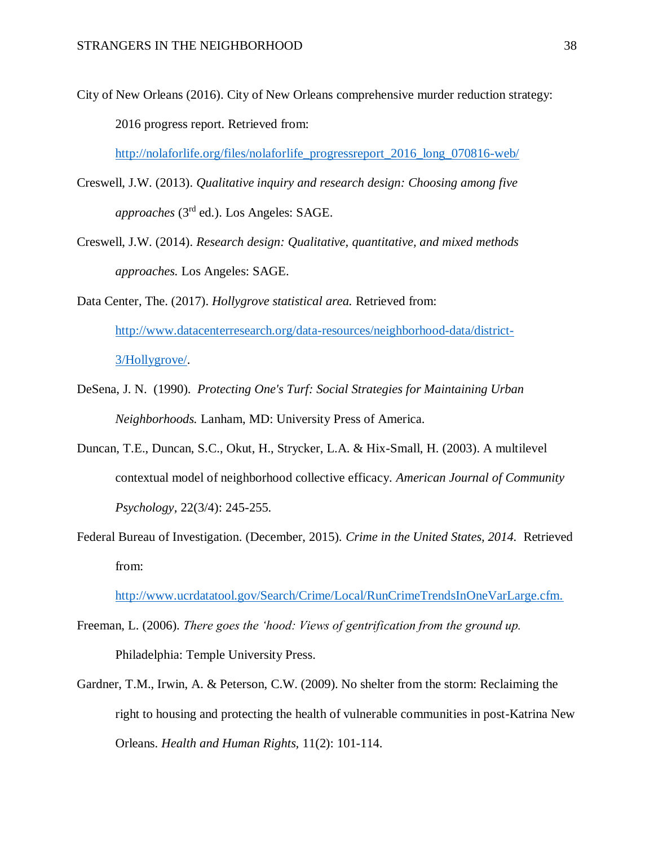City of New Orleans (2016). City of New Orleans comprehensive murder reduction strategy: 2016 progress report. Retrieved from:

[http://nolaforlife.org/files/nolaforlife\\_progressreport\\_2016\\_long\\_070816-web/](http://nolaforlife.org/files/nolaforlife_progressreport_2016_long_070816-web/)

- Creswell, J.W. (2013). *Qualitative inquiry and research design: Choosing among five approaches* (3rd ed.). Los Angeles: SAGE.
- Creswell, J.W. (2014). *Research design: Qualitative, quantitative, and mixed methods approaches.* Los Angeles: SAGE.
- Data Center, The. (2017). *Hollygrove statistical area.* Retrieved from: [http://www.datacenterresearch.org/data-resources/neighborhood-data/district-](http://www.datacenterresearch.org/data-resources/neighborhood-data/district-3/Hollygrove/)[3/Hollygrove/.](http://www.datacenterresearch.org/data-resources/neighborhood-data/district-3/Hollygrove/)
- DeSena, J. N. (1990). *Protecting One's Turf: Social Strategies for Maintaining Urban Neighborhoods.* Lanham, MD: University Press of America.
- Duncan, T.E., Duncan, S.C., Okut, H., Strycker, L.A. & Hix-Small, H. (2003). A multilevel contextual model of neighborhood collective efficacy. *American Journal of Community Psychology,* 22(3/4): 245-255.
- Federal Bureau of Investigation. (December, 2015). *Crime in the United States, 2014.* Retrieved from:

<http://www.ucrdatatool.gov/Search/Crime/Local/RunCrimeTrendsInOneVarLarge.cfm.>

- Freeman, L. (2006). *There goes the 'hood: Views of gentrification from the ground up.*  Philadelphia: Temple University Press.
- Gardner, T.M., Irwin, A. & Peterson, C.W. (2009). No shelter from the storm: Reclaiming the right to housing and protecting the health of vulnerable communities in post-Katrina New Orleans. *Health and Human Rights,* 11(2): 101-114.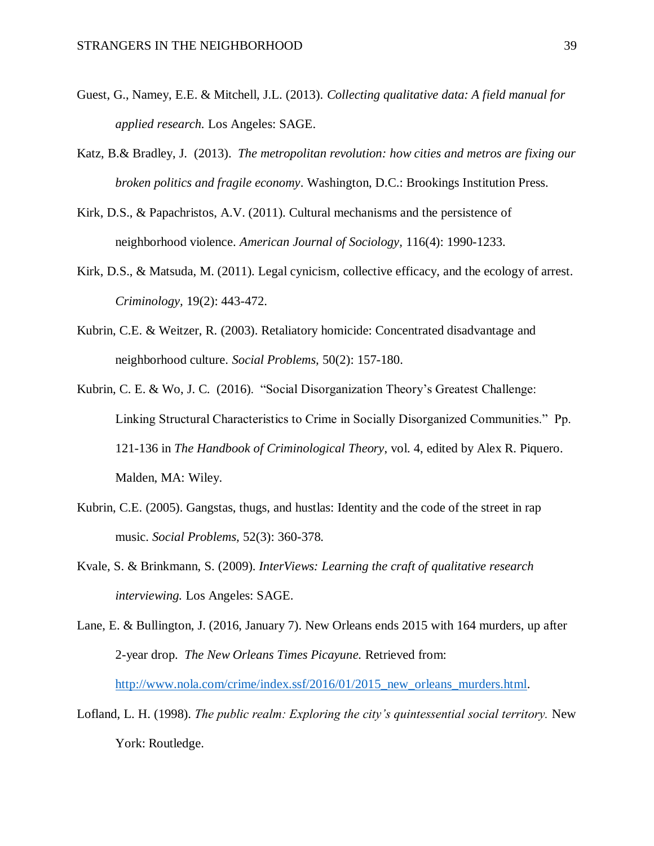- Guest, G., Namey, E.E. & Mitchell, J.L. (2013). *Collecting qualitative data: A field manual for applied research.* Los Angeles: SAGE.
- Katz, B.& Bradley, J. (2013). *The metropolitan revolution: how cities and metros are fixing our broken politics and fragile economy*. Washington, D.C.: Brookings Institution Press.
- Kirk, D.S., & Papachristos, A.V. (2011). Cultural mechanisms and the persistence of neighborhood violence. *American Journal of Sociology,* 116(4): 1990-1233.
- Kirk, D.S., & Matsuda, M. (2011). Legal cynicism, collective efficacy, and the ecology of arrest. *Criminology,* 19(2): 443-472.
- Kubrin, C.E. & Weitzer, R. (2003). Retaliatory homicide: Concentrated disadvantage and neighborhood culture. *Social Problems,* 50(2): 157-180.
- Kubrin, C. E. & Wo, J. C. (2016). "Social Disorganization Theory's Greatest Challenge: Linking Structural Characteristics to Crime in Socially Disorganized Communities." Pp. 121-136 in *The Handbook of Criminological Theory*, vol. 4, edited by Alex R. Piquero. Malden, MA: Wiley.
- Kubrin, C.E. (2005). Gangstas, thugs, and hustlas: Identity and the code of the street in rap music. *Social Problems,* 52(3): 360-378.
- Kvale, S. & Brinkmann, S. (2009). *InterViews: Learning the craft of qualitative research interviewing.* Los Angeles: SAGE.

Lane, E. & Bullington, J. (2016, January 7). New Orleans ends 2015 with 164 murders, up after 2-year drop. *The New Orleans Times Picayune.* Retrieved from: [http://www.nola.com/crime/index.ssf/2016/01/2015\\_new\\_orleans\\_murders.html.](http://www.nola.com/crime/index.ssf/2016/01/2015_new_orleans_murders.html)

Lofland, L. H. (1998). *The public realm: Exploring the city's quintessential social territory*. New York: Routledge.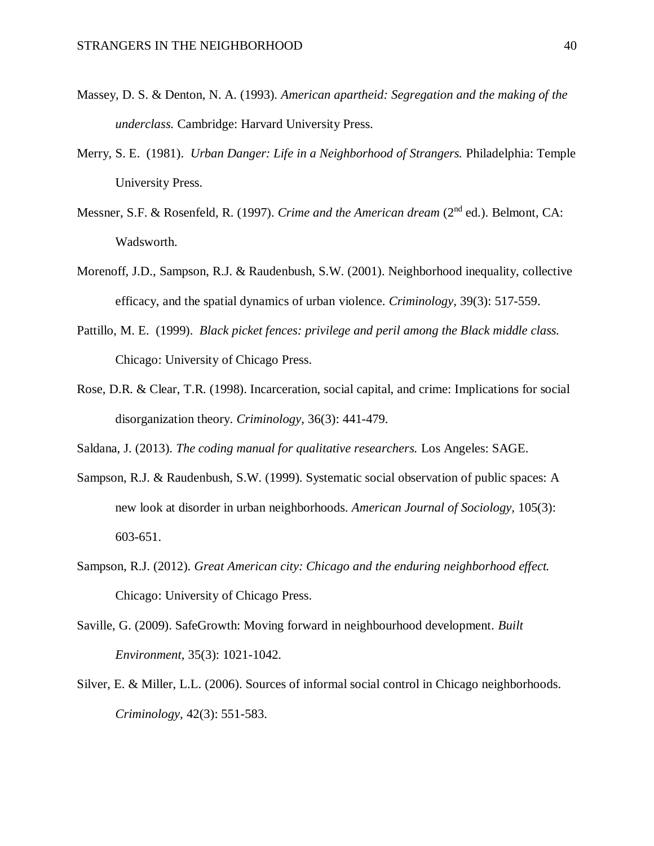- Massey, D. S. & Denton, N. A. (1993). *American apartheid: Segregation and the making of the underclass.* Cambridge: Harvard University Press.
- Merry, S. E. (1981). *Urban Danger: Life in a Neighborhood of Strangers.* Philadelphia: Temple University Press.
- Messner, S.F. & Rosenfeld, R. (1997). *Crime and the American dream* (2<sup>nd</sup> ed.). Belmont. CA: Wadsworth.
- Morenoff, J.D., Sampson, R.J. & Raudenbush, S.W. (2001). Neighborhood inequality, collective efficacy, and the spatial dynamics of urban violence. *Criminology,* 39(3): 517-559.
- Pattillo, M. E. (1999). *Black picket fences: privilege and peril among the Black middle class.*  Chicago: University of Chicago Press.
- Rose, D.R. & Clear, T.R. (1998). Incarceration, social capital, and crime: Implications for social disorganization theory. *Criminology,* 36(3): 441-479.
- Saldana, J. (2013). *The coding manual for qualitative researchers.* Los Angeles: SAGE.
- Sampson, R.J. & Raudenbush, S.W. (1999). Systematic social observation of public spaces: A new look at disorder in urban neighborhoods. *American Journal of Sociology,* 105(3): 603-651.
- Sampson, R.J. (2012). *Great American city: Chicago and the enduring neighborhood effect.* Chicago: University of Chicago Press.
- Saville, G. (2009). SafeGrowth: Moving forward in neighbourhood development. *Built Environment*, 35(3): 1021-1042.
- Silver, E. & Miller, L.L. (2006). Sources of informal social control in Chicago neighborhoods. *Criminology,* 42(3): 551-583.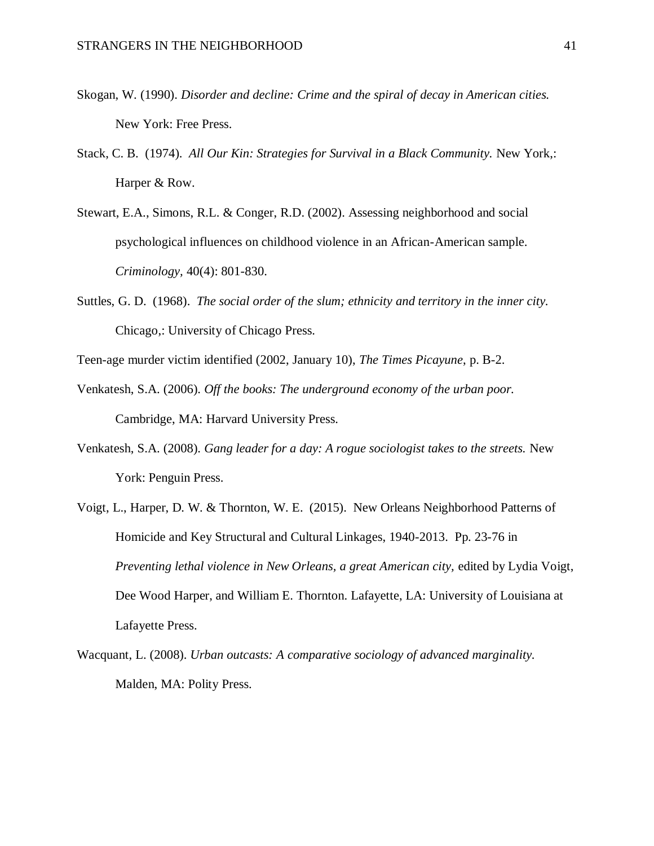- Skogan, W. (1990). *Disorder and decline: Crime and the spiral of decay in American cities.*  New York: Free Press.
- Stack, C. B. (1974). *All Our Kin: Strategies for Survival in a Black Community.* New York,: Harper & Row.
- Stewart, E.A., Simons, R.L. & Conger, R.D. (2002). Assessing neighborhood and social psychological influences on childhood violence in an African-American sample. *Criminology,* 40(4): 801-830.
- Suttles, G. D. (1968). *The social order of the slum; ethnicity and territory in the inner city.* Chicago,: University of Chicago Press.

Teen-age murder victim identified (2002, January 10), *The Times Picayune*, p. B-2.

- Venkatesh, S.A. (2006). *Off the books: The underground economy of the urban poor.*  Cambridge, MA: Harvard University Press.
- Venkatesh, S.A. (2008). *Gang leader for a day: A rogue sociologist takes to the streets.* New York: Penguin Press.
- Voigt, L., Harper, D. W. & Thornton, W. E. (2015). New Orleans Neighborhood Patterns of Homicide and Key Structural and Cultural Linkages, 1940-2013. Pp. 23-76 in *Preventing lethal violence in New Orleans, a great American city,* edited by Lydia Voigt, Dee Wood Harper, and William E. Thornton. Lafayette, LA: University of Louisiana at Lafayette Press.
- Wacquant, L. (2008). *Urban outcasts: A comparative sociology of advanced marginality.*  Malden, MA: Polity Press.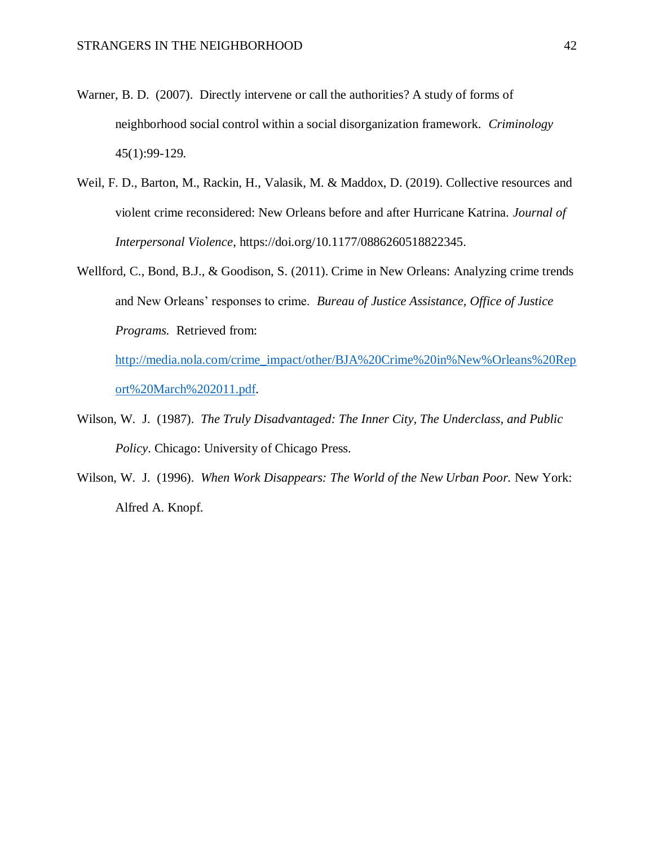- Warner, B. D. (2007). Directly intervene or call the authorities? A study of forms of neighborhood social control within a social disorganization framework. *Criminology* 45(1):99-129.
- Weil, F. D., Barton, M., Rackin, H., Valasik, M. & Maddox, D. (2019). Collective resources and violent crime reconsidered: New Orleans before and after Hurricane Katrina. *Journal of Interpersonal Violence*, https://doi.org/10.1177/0886260518822345.
- Wellford, C., Bond, B.J., & Goodison, S. (2011). Crime in New Orleans: Analyzing crime trends and New Orleans' responses to crime. *Bureau of Justice Assistance, Office of Justice Programs.* Retrieved from: [http://media.nola.com/crime\\_impact/other/BJA%20Crime%20in%New%Orleans%20Rep](http://media.nola.com/crime_impact/other/BJA%20Crime%20in%25New%25Orleans%20Report%20March%202011.pdf) [ort%20March%202011.pdf.](http://media.nola.com/crime_impact/other/BJA%20Crime%20in%25New%25Orleans%20Report%20March%202011.pdf)
- Wilson, W. J. (1987). *The Truly Disadvantaged: The Inner City, The Underclass, and Public Policy*. Chicago: University of Chicago Press.
- Wilson, W. J. (1996). *When Work Disappears: The World of the New Urban Poor.* New York: Alfred A. Knopf.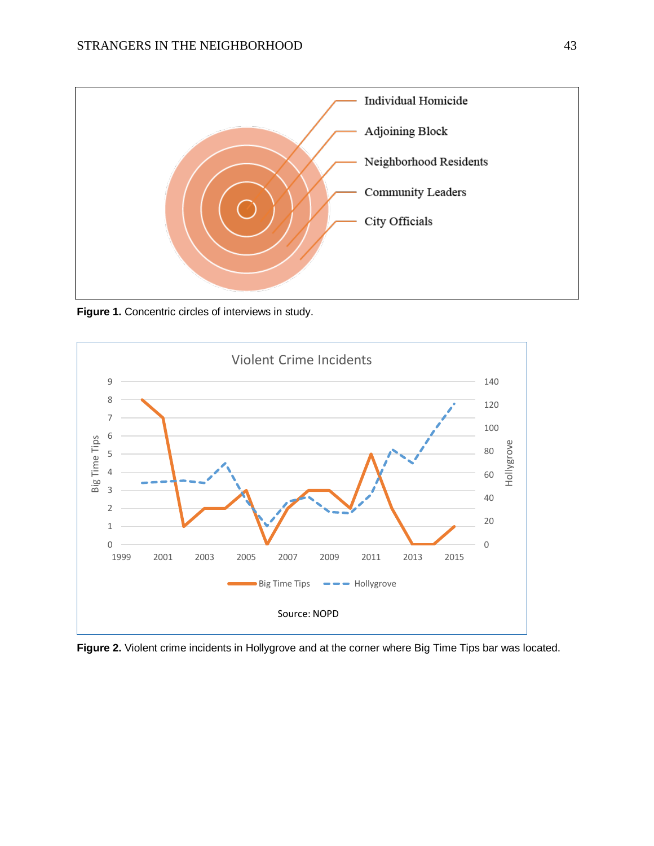

**Figure 1.** Concentric circles of interviews in study.



**Figure 2.** Violent crime incidents in Hollygrove and at the corner where Big Time Tips bar was located.